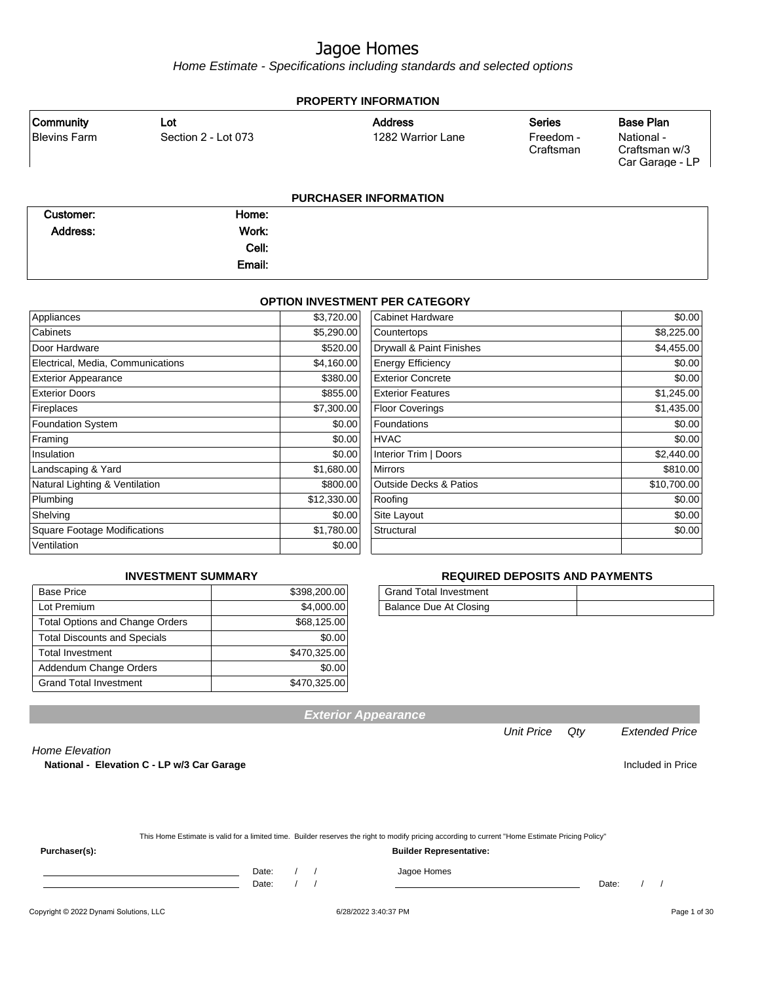Home Estimate - Specifications including standards and selected options

| <b>PROPERTY INFORMATION</b> |                     |                              |                        |                                                |  |  |  |
|-----------------------------|---------------------|------------------------------|------------------------|------------------------------------------------|--|--|--|
| <b>Community</b>            | Lot                 | <b>Address</b>               | <b>Series</b>          | <b>Base Plan</b>                               |  |  |  |
| Blevins Farm                | Section 2 - Lot 073 | 1282 Warrior Lane            | Freedom -<br>Craftsman | National -<br>Craftsman w/3<br>Car Garage - LP |  |  |  |
|                             |                     | <b>PURCHASER INFORMATION</b> |                        |                                                |  |  |  |
| Customer:                   | Home:               |                              |                        |                                                |  |  |  |
| Address:                    | Work:               |                              |                        |                                                |  |  |  |
|                             | Cell:               |                              |                        |                                                |  |  |  |
|                             | Email:              |                              |                        |                                                |  |  |  |

#### **OPTION INVESTMENT PER CATEGORY**

| Appliances                          | \$3,720.00  | <b>Cabinet Hardware</b>           | \$0.00      |
|-------------------------------------|-------------|-----------------------------------|-------------|
| Cabinets                            | \$5,290.00  | Countertops                       | \$8,225.00  |
| Door Hardware                       | \$520.00    | Drywall & Paint Finishes          | \$4,455.00  |
| Electrical, Media, Communications   | \$4,160.00  | <b>Energy Efficiency</b>          | \$0.00      |
| <b>Exterior Appearance</b>          | \$380.00    | <b>Exterior Concrete</b>          | \$0.00      |
| <b>Exterior Doors</b>               | \$855.00    | <b>Exterior Features</b>          | \$1,245.00  |
| Fireplaces                          | \$7,300.00  | <b>Floor Coverings</b>            | \$1,435.00  |
| <b>Foundation System</b>            | \$0.00      | <b>Foundations</b>                | \$0.00      |
| Framing                             | \$0.00      | <b>HVAC</b>                       | \$0.00      |
| Insulation                          | \$0.00      | Interior Trim   Doors             | \$2,440.00  |
| Landscaping & Yard                  | \$1,680.00  | <b>Mirrors</b>                    | \$810.00    |
| Natural Lighting & Ventilation      | \$800.00    | <b>Outside Decks &amp; Patios</b> | \$10,700.00 |
| Plumbing                            | \$12,330.00 | Roofing                           | \$0.00      |
| Shelving                            | \$0.00      | Site Layout                       | \$0.00      |
| <b>Square Footage Modifications</b> | \$1,780.00  | Structural                        | \$0.00      |
| Ventilation                         | \$0.00      |                                   |             |

#### **INVESTMENT SUMMARY**

| <b>Base Price</b>                      | \$398,200.00 |
|----------------------------------------|--------------|
| Lot Premium                            | \$4,000.00   |
| <b>Total Options and Change Orders</b> | \$68,125.00  |
| <b>Total Discounts and Specials</b>    | \$0.00       |
| <b>Total Investment</b>                | \$470,325.00 |
| Addendum Change Orders                 | \$0.00       |
| <b>Grand Total Investment</b>          | \$470,325.00 |

#### **REQUIRED DEPOSITS AND PAYMENTS**

| <b>Grand Total Investment</b> |  |
|-------------------------------|--|
| Balance Due At Closing        |  |

**Exterior Appearance**

Unit Price Qty Extended Price

#### Home Elevation

National - Elevation C - LP w/3 Car Garage **Included in Price** Included in Price

This Home Estimate is valid for a limited time. Builder reserves the right to modify pricing according to current "Home Estimate Pricing Policy"

**Purchaser(s): Builder Representative:**

Date: / / Date: / /

Date: / / Jagoe Homes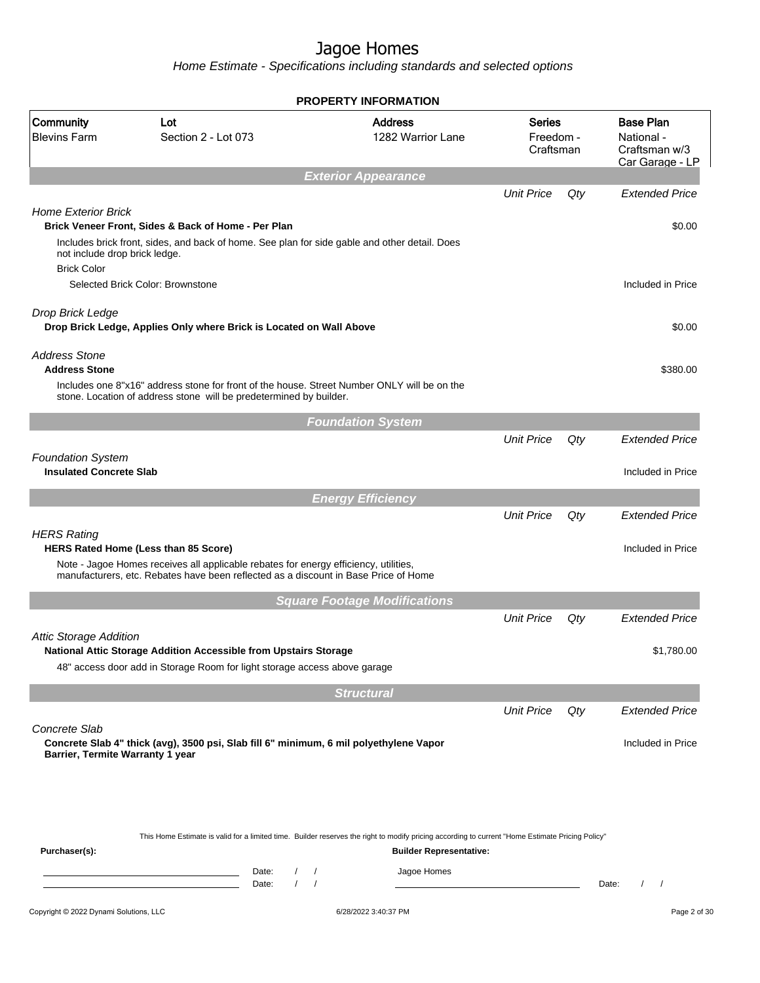| Lot                                                                       |                                                                                                    |                                                                                                                                                                                                                                                                                                                                                                                                                                                                                                                                                                                                                                                                                             |                   |                                                                    |
|---------------------------------------------------------------------------|----------------------------------------------------------------------------------------------------|---------------------------------------------------------------------------------------------------------------------------------------------------------------------------------------------------------------------------------------------------------------------------------------------------------------------------------------------------------------------------------------------------------------------------------------------------------------------------------------------------------------------------------------------------------------------------------------------------------------------------------------------------------------------------------------------|-------------------|--------------------------------------------------------------------|
| Section 2 - Lot 073                                                       | <b>Address</b><br>1282 Warrior Lane                                                                | <b>Series</b><br>Freedom -<br>Craftsman                                                                                                                                                                                                                                                                                                                                                                                                                                                                                                                                                                                                                                                     |                   | <b>Base Plan</b><br>National -<br>Craftsman w/3<br>Car Garage - LP |
|                                                                           | <b>Exterior Appearance</b>                                                                         |                                                                                                                                                                                                                                                                                                                                                                                                                                                                                                                                                                                                                                                                                             |                   |                                                                    |
|                                                                           |                                                                                                    |                                                                                                                                                                                                                                                                                                                                                                                                                                                                                                                                                                                                                                                                                             |                   | <b>Extended Price</b>                                              |
|                                                                           |                                                                                                    |                                                                                                                                                                                                                                                                                                                                                                                                                                                                                                                                                                                                                                                                                             |                   | \$0.00                                                             |
| not include drop brick ledge.                                             |                                                                                                    |                                                                                                                                                                                                                                                                                                                                                                                                                                                                                                                                                                                                                                                                                             |                   |                                                                    |
| Selected Brick Color: Brownstone                                          |                                                                                                    |                                                                                                                                                                                                                                                                                                                                                                                                                                                                                                                                                                                                                                                                                             |                   | Included in Price                                                  |
|                                                                           |                                                                                                    |                                                                                                                                                                                                                                                                                                                                                                                                                                                                                                                                                                                                                                                                                             |                   | \$0.00                                                             |
|                                                                           |                                                                                                    |                                                                                                                                                                                                                                                                                                                                                                                                                                                                                                                                                                                                                                                                                             |                   | \$380.00                                                           |
|                                                                           |                                                                                                    |                                                                                                                                                                                                                                                                                                                                                                                                                                                                                                                                                                                                                                                                                             |                   |                                                                    |
|                                                                           |                                                                                                    |                                                                                                                                                                                                                                                                                                                                                                                                                                                                                                                                                                                                                                                                                             |                   |                                                                    |
|                                                                           |                                                                                                    | <b>Unit Price</b>                                                                                                                                                                                                                                                                                                                                                                                                                                                                                                                                                                                                                                                                           | Qty               | <b>Extended Price</b>                                              |
| <b>Insulated Concrete Slab</b>                                            |                                                                                                    |                                                                                                                                                                                                                                                                                                                                                                                                                                                                                                                                                                                                                                                                                             |                   | Included in Price                                                  |
|                                                                           |                                                                                                    |                                                                                                                                                                                                                                                                                                                                                                                                                                                                                                                                                                                                                                                                                             |                   |                                                                    |
|                                                                           |                                                                                                    | <b>Unit Price</b>                                                                                                                                                                                                                                                                                                                                                                                                                                                                                                                                                                                                                                                                           | Qty               | <b>Extended Price</b>                                              |
|                                                                           |                                                                                                    |                                                                                                                                                                                                                                                                                                                                                                                                                                                                                                                                                                                                                                                                                             |                   | Included in Price                                                  |
|                                                                           |                                                                                                    |                                                                                                                                                                                                                                                                                                                                                                                                                                                                                                                                                                                                                                                                                             |                   |                                                                    |
|                                                                           |                                                                                                    |                                                                                                                                                                                                                                                                                                                                                                                                                                                                                                                                                                                                                                                                                             |                   |                                                                    |
|                                                                           |                                                                                                    | <b>Unit Price</b>                                                                                                                                                                                                                                                                                                                                                                                                                                                                                                                                                                                                                                                                           | Qty               | <b>Extended Price</b>                                              |
|                                                                           |                                                                                                    |                                                                                                                                                                                                                                                                                                                                                                                                                                                                                                                                                                                                                                                                                             |                   |                                                                    |
| 48" access door add in Storage Room for light storage access above garage |                                                                                                    |                                                                                                                                                                                                                                                                                                                                                                                                                                                                                                                                                                                                                                                                                             |                   | \$1,780.00                                                         |
|                                                                           |                                                                                                    |                                                                                                                                                                                                                                                                                                                                                                                                                                                                                                                                                                                                                                                                                             |                   |                                                                    |
|                                                                           | <b>Structural</b>                                                                                  |                                                                                                                                                                                                                                                                                                                                                                                                                                                                                                                                                                                                                                                                                             |                   |                                                                    |
|                                                                           |                                                                                                    | <b>Unit Price</b>                                                                                                                                                                                                                                                                                                                                                                                                                                                                                                                                                                                                                                                                           | Qty               | <b>Extended Price</b>                                              |
|                                                                           | Brick Veneer Front, Sides & Back of Home - Per Plan<br><b>HERS Rated Home (Less than 85 Score)</b> | Includes brick front, sides, and back of home. See plan for side gable and other detail. Does<br>Drop Brick Ledge, Applies Only where Brick is Located on Wall Above<br>Includes one 8"x16" address stone for front of the house. Street Number ONLY will be on the<br>stone. Location of address stone will be predetermined by builder.<br><b>Foundation System</b><br><b>Energy Efficiency</b><br>Note - Jagoe Homes receives all applicable rebates for energy efficiency, utilities,<br>manufacturers, etc. Rebates have been reflected as a discount in Base Price of Home<br><b>Square Footage Modifications</b><br>National Attic Storage Addition Accessible from Upstairs Storage | <b>Unit Price</b> | Qty                                                                |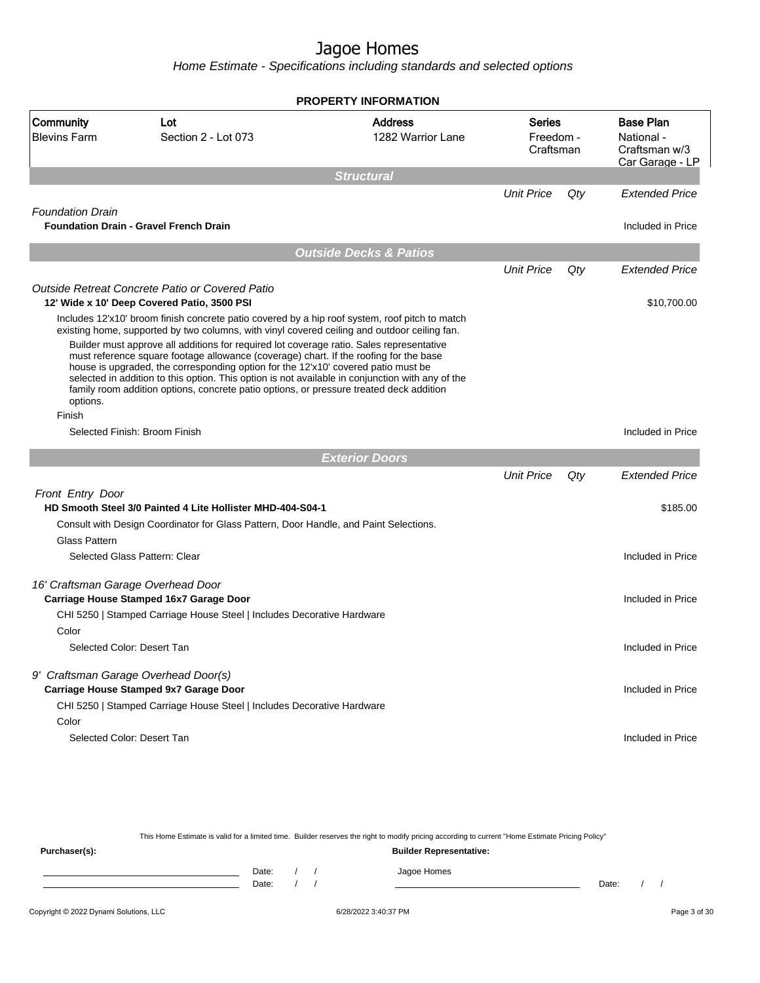Home Estimate - Specifications including standards and selected options

|                                      |                                                                                                                                                                                                                                                                                                                                                                                                                                                                       | <b>PROPERTY INFORMATION</b>         |                                         |     |                       |  |                                                                    |
|--------------------------------------|-----------------------------------------------------------------------------------------------------------------------------------------------------------------------------------------------------------------------------------------------------------------------------------------------------------------------------------------------------------------------------------------------------------------------------------------------------------------------|-------------------------------------|-----------------------------------------|-----|-----------------------|--|--------------------------------------------------------------------|
| Community<br><b>Blevins Farm</b>     | Lot<br>Section 2 - Lot 073                                                                                                                                                                                                                                                                                                                                                                                                                                            | <b>Address</b><br>1282 Warrior Lane | <b>Series</b><br>Freedom -<br>Craftsman |     |                       |  | <b>Base Plan</b><br>National -<br>Craftsman w/3<br>Car Garage - LP |
|                                      |                                                                                                                                                                                                                                                                                                                                                                                                                                                                       | <b>Structural</b>                   |                                         |     |                       |  |                                                                    |
|                                      |                                                                                                                                                                                                                                                                                                                                                                                                                                                                       |                                     | <b>Unit Price</b>                       | Qty | <b>Extended Price</b> |  |                                                                    |
| <b>Foundation Drain</b>              | <b>Foundation Drain - Gravel French Drain</b>                                                                                                                                                                                                                                                                                                                                                                                                                         |                                     |                                         |     | Included in Price     |  |                                                                    |
|                                      |                                                                                                                                                                                                                                                                                                                                                                                                                                                                       |                                     |                                         |     |                       |  |                                                                    |
|                                      |                                                                                                                                                                                                                                                                                                                                                                                                                                                                       | <b>Outside Decks &amp; Patios</b>   |                                         |     |                       |  |                                                                    |
|                                      |                                                                                                                                                                                                                                                                                                                                                                                                                                                                       |                                     | <b>Unit Price</b>                       | Qty | <b>Extended Price</b> |  |                                                                    |
|                                      | Outside Retreat Concrete Patio or Covered Patio                                                                                                                                                                                                                                                                                                                                                                                                                       |                                     |                                         |     |                       |  |                                                                    |
|                                      | 12' Wide x 10' Deep Covered Patio, 3500 PSI                                                                                                                                                                                                                                                                                                                                                                                                                           |                                     |                                         |     | \$10,700.00           |  |                                                                    |
|                                      | Includes 12'x10' broom finish concrete patio covered by a hip roof system, roof pitch to match<br>existing home, supported by two columns, with vinyl covered ceiling and outdoor ceiling fan.                                                                                                                                                                                                                                                                        |                                     |                                         |     |                       |  |                                                                    |
| options.                             | Builder must approve all additions for required lot coverage ratio. Sales representative<br>must reference square footage allowance (coverage) chart. If the roofing for the base<br>house is upgraded, the corresponding option for the 12'x10' covered patio must be<br>selected in addition to this option. This option is not available in conjunction with any of the<br>family room addition options, concrete patio options, or pressure treated deck addition |                                     |                                         |     |                       |  |                                                                    |
| Finish                               |                                                                                                                                                                                                                                                                                                                                                                                                                                                                       |                                     |                                         |     |                       |  |                                                                    |
|                                      | Selected Finish: Broom Finish                                                                                                                                                                                                                                                                                                                                                                                                                                         |                                     |                                         |     | Included in Price     |  |                                                                    |
|                                      |                                                                                                                                                                                                                                                                                                                                                                                                                                                                       | <b>Exterior Doors</b>               |                                         |     |                       |  |                                                                    |
|                                      |                                                                                                                                                                                                                                                                                                                                                                                                                                                                       |                                     | <b>Unit Price</b>                       | Qty | <b>Extended Price</b> |  |                                                                    |
| Front Entry Door                     |                                                                                                                                                                                                                                                                                                                                                                                                                                                                       |                                     |                                         |     |                       |  |                                                                    |
|                                      | HD Smooth Steel 3/0 Painted 4 Lite Hollister MHD-404-S04-1                                                                                                                                                                                                                                                                                                                                                                                                            |                                     |                                         |     | \$185.00              |  |                                                                    |
|                                      | Consult with Design Coordinator for Glass Pattern, Door Handle, and Paint Selections.                                                                                                                                                                                                                                                                                                                                                                                 |                                     |                                         |     |                       |  |                                                                    |
| <b>Glass Pattern</b>                 |                                                                                                                                                                                                                                                                                                                                                                                                                                                                       |                                     |                                         |     |                       |  |                                                                    |
| Selected Glass Pattern: Clear        |                                                                                                                                                                                                                                                                                                                                                                                                                                                                       |                                     |                                         |     | Included in Price     |  |                                                                    |
|                                      |                                                                                                                                                                                                                                                                                                                                                                                                                                                                       |                                     |                                         |     |                       |  |                                                                    |
|                                      |                                                                                                                                                                                                                                                                                                                                                                                                                                                                       |                                     |                                         |     |                       |  |                                                                    |
| 16' Craftsman Garage Overhead Door   | Carriage House Stamped 16x7 Garage Door                                                                                                                                                                                                                                                                                                                                                                                                                               |                                     |                                         |     | Included in Price     |  |                                                                    |
|                                      | CHI 5250   Stamped Carriage House Steel   Includes Decorative Hardware                                                                                                                                                                                                                                                                                                                                                                                                |                                     |                                         |     |                       |  |                                                                    |
| Color                                |                                                                                                                                                                                                                                                                                                                                                                                                                                                                       |                                     |                                         |     |                       |  |                                                                    |
| Selected Color: Desert Tan           |                                                                                                                                                                                                                                                                                                                                                                                                                                                                       |                                     |                                         |     | Included in Price     |  |                                                                    |
|                                      |                                                                                                                                                                                                                                                                                                                                                                                                                                                                       |                                     |                                         |     |                       |  |                                                                    |
| 9' Craftsman Garage Overhead Door(s) | Carriage House Stamped 9x7 Garage Door                                                                                                                                                                                                                                                                                                                                                                                                                                |                                     |                                         |     | Included in Price     |  |                                                                    |
|                                      | CHI 5250   Stamped Carriage House Steel   Includes Decorative Hardware                                                                                                                                                                                                                                                                                                                                                                                                |                                     |                                         |     |                       |  |                                                                    |
| Color                                |                                                                                                                                                                                                                                                                                                                                                                                                                                                                       |                                     |                                         |     |                       |  |                                                                    |
| Selected Color: Desert Tan           |                                                                                                                                                                                                                                                                                                                                                                                                                                                                       |                                     |                                         |     | Included in Price     |  |                                                                    |

This Home Estimate is valid for a limited time. Builder reserves the right to modify pricing according to current "Home Estimate Pricing Policy" **Purchaser(s): Builder Representative:** Date: / / Jagoe Homes<br>Date: / / Jagoe Homes Date: / / **Date: / / 2006** Date: / / / Date: / / /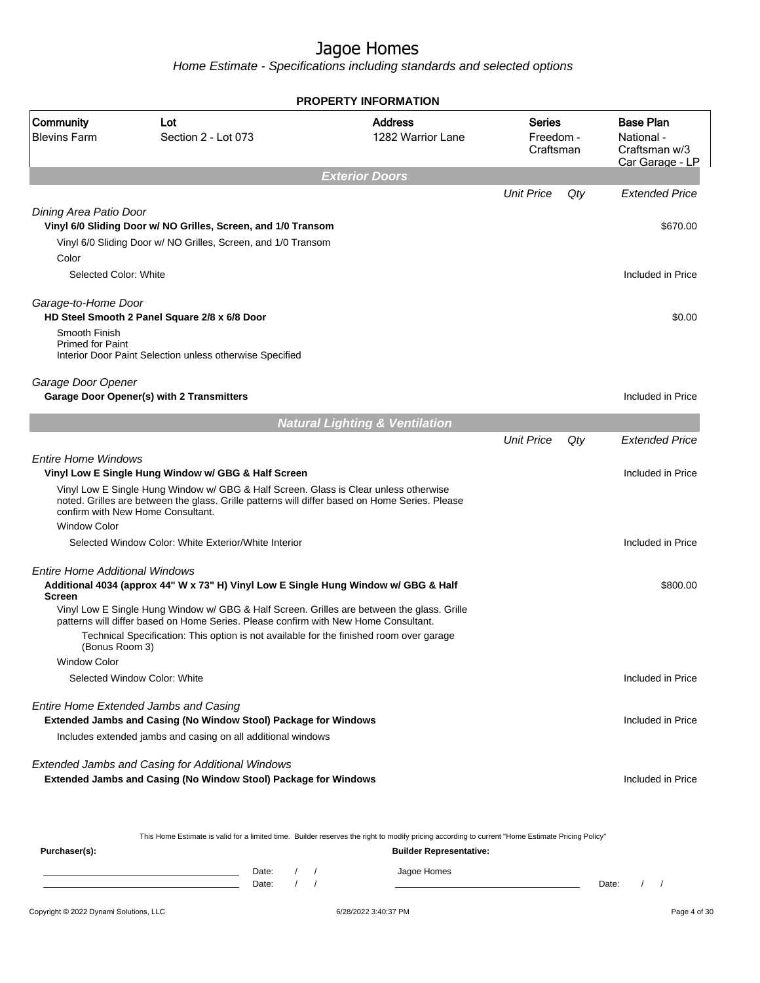Home Estimate - Specifications including standards and selected options

|                                                        |                                                                                                                                                                                                                                                                                    | <b>PROPERTY INFORMATION</b>               |                                         |     |                                                                    |
|--------------------------------------------------------|------------------------------------------------------------------------------------------------------------------------------------------------------------------------------------------------------------------------------------------------------------------------------------|-------------------------------------------|-----------------------------------------|-----|--------------------------------------------------------------------|
| Community<br><b>Blevins Farm</b>                       | Lot<br>Section 2 - Lot 073                                                                                                                                                                                                                                                         | <b>Address</b><br>1282 Warrior Lane       | <b>Series</b><br>Freedom -<br>Craftsman |     | <b>Base Plan</b><br>National -<br>Craftsman w/3<br>Car Garage - LP |
|                                                        |                                                                                                                                                                                                                                                                                    | <b>Exterior Doors</b>                     |                                         |     |                                                                    |
|                                                        |                                                                                                                                                                                                                                                                                    |                                           | <b>Unit Price</b>                       | Qty | <b>Extended Price</b>                                              |
| Dining Area Patio Door<br>Color                        | Vinyl 6/0 Sliding Door w/ NO Grilles, Screen, and 1/0 Transom<br>Vinyl 6/0 Sliding Door w/ NO Grilles, Screen, and 1/0 Transom                                                                                                                                                     |                                           |                                         |     | \$670.00                                                           |
| Selected Color: White                                  |                                                                                                                                                                                                                                                                                    |                                           |                                         |     | Included in Price                                                  |
| Garage-to-Home Door<br>Smooth Finish                   | HD Steel Smooth 2 Panel Square 2/8 x 6/8 Door                                                                                                                                                                                                                                      |                                           |                                         |     | \$0.00                                                             |
| <b>Primed for Paint</b>                                | Interior Door Paint Selection unless otherwise Specified                                                                                                                                                                                                                           |                                           |                                         |     |                                                                    |
| Garage Door Opener                                     | Garage Door Opener(s) with 2 Transmitters                                                                                                                                                                                                                                          |                                           |                                         |     | Included in Price                                                  |
|                                                        |                                                                                                                                                                                                                                                                                    | <b>Natural Lighting &amp; Ventilation</b> |                                         |     |                                                                    |
|                                                        |                                                                                                                                                                                                                                                                                    |                                           | <b>Unit Price</b>                       | Qty | <b>Extended Price</b>                                              |
| <b>Entire Home Windows</b>                             | Vinyl Low E Single Hung Window w/ GBG & Half Screen<br>Vinyl Low E Single Hung Window w/ GBG & Half Screen. Glass is Clear unless otherwise<br>noted. Grilles are between the glass. Grille patterns will differ based on Home Series. Please<br>confirm with New Home Consultant. |                                           |                                         |     | Included in Price                                                  |
| <b>Window Color</b>                                    |                                                                                                                                                                                                                                                                                    |                                           |                                         |     |                                                                    |
|                                                        | Selected Window Color: White Exterior/White Interior                                                                                                                                                                                                                               |                                           |                                         |     | Included in Price                                                  |
| <b>Entire Home Additional Windows</b><br><b>Screen</b> | Additional 4034 (approx 44" W x 73" H) Vinyl Low E Single Hung Window w/ GBG & Half                                                                                                                                                                                                |                                           |                                         |     | \$800.00                                                           |
|                                                        | Vinyl Low E Single Hung Window w/ GBG & Half Screen. Grilles are between the glass. Grille<br>patterns will differ based on Home Series. Please confirm with New Home Consultant.<br>Technical Specification: This option is not available for the finished room over garage       |                                           |                                         |     |                                                                    |
| (Bonus Room 3)<br><b>Window Color</b>                  |                                                                                                                                                                                                                                                                                    |                                           |                                         |     |                                                                    |
|                                                        | Selected Window Color: White                                                                                                                                                                                                                                                       |                                           |                                         |     | Included in Price                                                  |
|                                                        | Entire Home Extended Jambs and Casing<br>Extended Jambs and Casing (No Window Stool) Package for Windows                                                                                                                                                                           |                                           |                                         |     | Included in Price                                                  |
|                                                        | Includes extended jambs and casing on all additional windows                                                                                                                                                                                                                       |                                           |                                         |     |                                                                    |
|                                                        | Extended Jambs and Casing for Additional Windows<br>Extended Jambs and Casing (No Window Stool) Package for Windows                                                                                                                                                                |                                           |                                         |     | Included in Price                                                  |
| Purchaser(s):                                          | This Home Estimate is valid for a limited time. Builder reserves the right to modify pricing according to current "Home Estimate Pricing Policy"                                                                                                                                   | <b>Builder Representative:</b>            |                                         |     |                                                                    |

Date: / / Jagoe Homes<br>Date: / / Jagoe Homes Date: / / Date: / /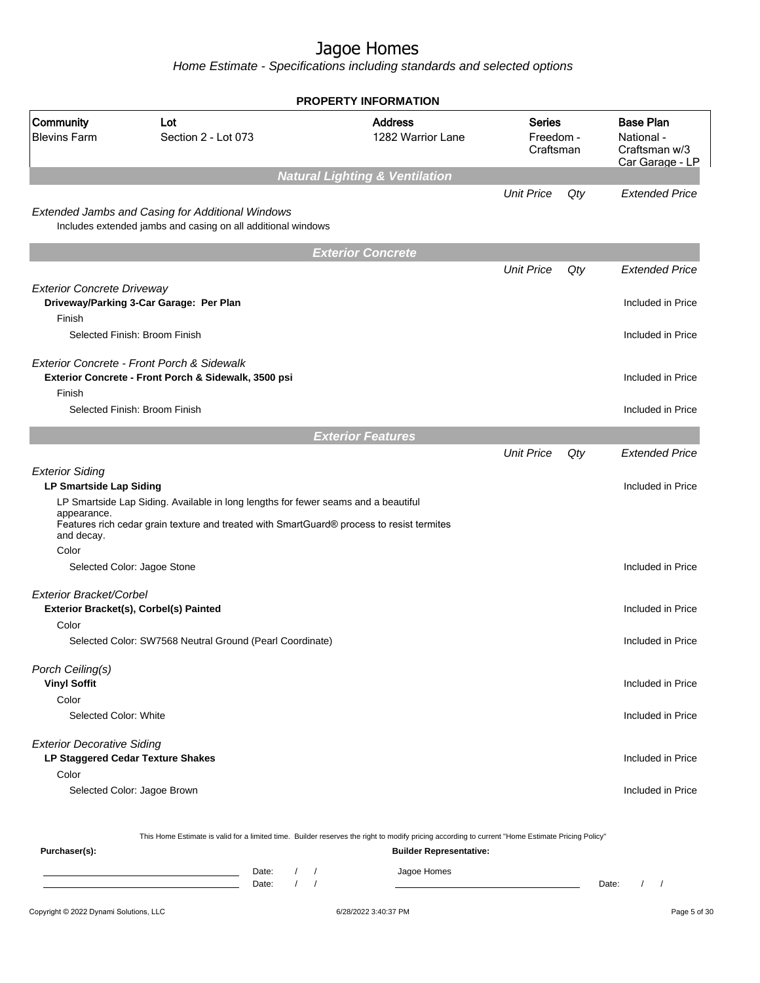Home Estimate - Specifications including standards and selected options

|                                                                         |                                                                                                                                                  | <b>PROPERTY INFORMATION</b>               |                                         |     |                                                                    |
|-------------------------------------------------------------------------|--------------------------------------------------------------------------------------------------------------------------------------------------|-------------------------------------------|-----------------------------------------|-----|--------------------------------------------------------------------|
| Community<br><b>Blevins Farm</b>                                        | Lot<br>Section 2 - Lot 073                                                                                                                       | <b>Address</b><br>1282 Warrior Lane       | <b>Series</b><br>Freedom -<br>Craftsman |     | <b>Base Plan</b><br>National -<br>Craftsman w/3<br>Car Garage - LP |
|                                                                         |                                                                                                                                                  | <b>Natural Lighting &amp; Ventilation</b> |                                         |     |                                                                    |
|                                                                         | Extended Jambs and Casing for Additional Windows<br>Includes extended jambs and casing on all additional windows                                 |                                           | <b>Unit Price</b>                       | Qty | <b>Extended Price</b>                                              |
|                                                                         |                                                                                                                                                  | <b>Exterior Concrete</b>                  |                                         |     |                                                                    |
|                                                                         |                                                                                                                                                  |                                           | <b>Unit Price</b>                       | Qty | <b>Extended Price</b>                                              |
| <b>Exterior Concrete Driveway</b><br>Finish                             | Driveway/Parking 3-Car Garage: Per Plan                                                                                                          |                                           |                                         |     | Included in Price                                                  |
|                                                                         | Selected Finish: Broom Finish                                                                                                                    |                                           |                                         |     | Included in Price                                                  |
| Finish                                                                  | Exterior Concrete - Front Porch & Sidewalk<br>Exterior Concrete - Front Porch & Sidewalk, 3500 psi                                               |                                           |                                         |     | Included in Price                                                  |
|                                                                         | Selected Finish: Broom Finish                                                                                                                    |                                           |                                         |     | Included in Price                                                  |
|                                                                         |                                                                                                                                                  | <b>Exterior Features</b>                  |                                         |     |                                                                    |
|                                                                         |                                                                                                                                                  |                                           | <b>Unit Price</b>                       | Qty | <b>Extended Price</b>                                              |
| <b>Exterior Siding</b><br><b>LP Smartside Lap Siding</b><br>appearance. | LP Smartside Lap Siding. Available in long lengths for fewer seams and a beautiful                                                               |                                           |                                         |     | Included in Price                                                  |
| and decay.                                                              | Features rich cedar grain texture and treated with SmartGuard® process to resist termites                                                        |                                           |                                         |     |                                                                    |
| Color                                                                   |                                                                                                                                                  |                                           |                                         |     |                                                                    |
|                                                                         | Selected Color: Jagoe Stone                                                                                                                      |                                           |                                         |     | Included in Price                                                  |
| Exterior Bracket/Corbel                                                 | Exterior Bracket(s), Corbel(s) Painted                                                                                                           |                                           |                                         |     | Included in Price                                                  |
| Color                                                                   |                                                                                                                                                  |                                           |                                         |     |                                                                    |
|                                                                         | Selected Color: SW7568 Neutral Ground (Pearl Coordinate)                                                                                         |                                           |                                         |     | Included in Price                                                  |
| Porch Ceiling(s)<br><b>Vinyl Soffit</b>                                 |                                                                                                                                                  |                                           |                                         |     | Included in Price                                                  |
| Color                                                                   |                                                                                                                                                  |                                           |                                         |     |                                                                    |
| Selected Color: White                                                   |                                                                                                                                                  |                                           |                                         |     | Included in Price                                                  |
| <b>Exterior Decorative Siding</b>                                       | LP Staggered Cedar Texture Shakes                                                                                                                |                                           |                                         |     | Included in Price                                                  |
| Color                                                                   |                                                                                                                                                  |                                           |                                         |     |                                                                    |
|                                                                         | Selected Color: Jagoe Brown                                                                                                                      |                                           |                                         |     | Included in Price                                                  |
|                                                                         | This Home Estimate is valid for a limited time. Builder reserves the right to modify pricing according to current "Home Estimate Pricing Policy" |                                           |                                         |     |                                                                    |
|                                                                         |                                                                                                                                                  |                                           |                                         |     |                                                                    |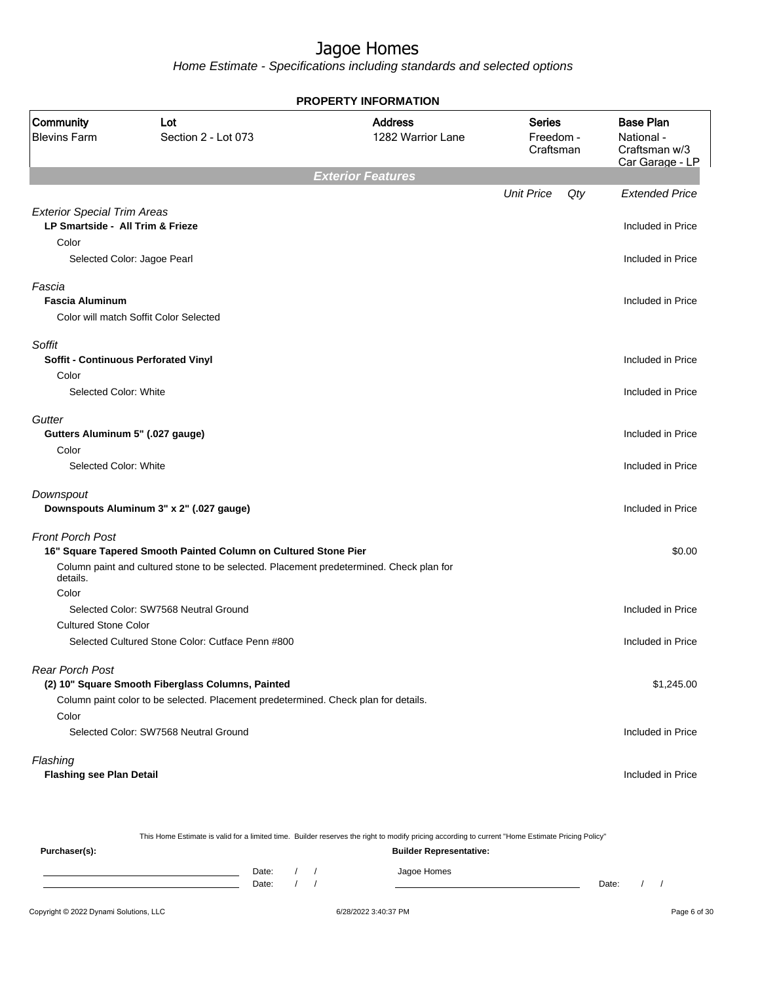Home Estimate - Specifications including standards and selected options

|                                                                        |                                                                                         | <b>PROPERTY INFORMATION</b>         |                                         |     |                                                                    |
|------------------------------------------------------------------------|-----------------------------------------------------------------------------------------|-------------------------------------|-----------------------------------------|-----|--------------------------------------------------------------------|
| <b>Community</b><br><b>Blevins Farm</b>                                | Lot<br>Section 2 - Lot 073                                                              | <b>Address</b><br>1282 Warrior Lane | <b>Series</b><br>Freedom -<br>Craftsman |     | <b>Base Plan</b><br>National -<br>Craftsman w/3<br>Car Garage - LP |
|                                                                        |                                                                                         | <b>Exterior Features</b>            |                                         |     |                                                                    |
|                                                                        |                                                                                         |                                     | <b>Unit Price</b>                       | Qty | <b>Extended Price</b>                                              |
| <b>Exterior Special Trim Areas</b><br>LP Smartside - All Trim & Frieze |                                                                                         |                                     |                                         |     | Included in Price                                                  |
| Color                                                                  |                                                                                         |                                     |                                         |     |                                                                    |
|                                                                        | Selected Color: Jagoe Pearl                                                             |                                     |                                         |     | Included in Price                                                  |
|                                                                        |                                                                                         |                                     |                                         |     |                                                                    |
| Fascia                                                                 |                                                                                         |                                     |                                         |     |                                                                    |
| <b>Fascia Aluminum</b>                                                 | Color will match Soffit Color Selected                                                  |                                     |                                         |     | Included in Price                                                  |
|                                                                        |                                                                                         |                                     |                                         |     |                                                                    |
| Soffit                                                                 |                                                                                         |                                     |                                         |     |                                                                    |
|                                                                        | <b>Soffit - Continuous Perforated Vinyl</b>                                             |                                     |                                         |     | Included in Price                                                  |
| Color                                                                  |                                                                                         |                                     |                                         |     |                                                                    |
| Selected Color: White                                                  |                                                                                         |                                     |                                         |     | Included in Price                                                  |
| Gutter                                                                 |                                                                                         |                                     |                                         |     |                                                                    |
| Gutters Aluminum 5" (.027 gauge)                                       |                                                                                         |                                     |                                         |     | Included in Price                                                  |
| Color                                                                  |                                                                                         |                                     |                                         |     |                                                                    |
| Selected Color: White                                                  |                                                                                         |                                     |                                         |     | Included in Price                                                  |
| Downspout                                                              |                                                                                         |                                     |                                         |     |                                                                    |
|                                                                        | Downspouts Aluminum 3" x 2" (.027 gauge)                                                |                                     |                                         |     | Included in Price                                                  |
| <b>Front Porch Post</b>                                                |                                                                                         |                                     |                                         |     |                                                                    |
|                                                                        | 16" Square Tapered Smooth Painted Column on Cultured Stone Pier                         |                                     |                                         |     | \$0.00                                                             |
|                                                                        | Column paint and cultured stone to be selected. Placement predetermined. Check plan for |                                     |                                         |     |                                                                    |
| details.<br>Color                                                      |                                                                                         |                                     |                                         |     |                                                                    |
|                                                                        | Selected Color: SW7568 Neutral Ground                                                   |                                     |                                         |     | Included in Price                                                  |
| <b>Cultured Stone Color</b>                                            |                                                                                         |                                     |                                         |     |                                                                    |
|                                                                        | Selected Cultured Stone Color: Cutface Penn #800                                        |                                     |                                         |     | Included in Price                                                  |
| <b>Rear Porch Post</b>                                                 |                                                                                         |                                     |                                         |     |                                                                    |
|                                                                        | (2) 10" Square Smooth Fiberglass Columns, Painted                                       |                                     |                                         |     | \$1,245.00                                                         |
|                                                                        | Column paint color to be selected. Placement predetermined. Check plan for details.     |                                     |                                         |     |                                                                    |
| Color                                                                  |                                                                                         |                                     |                                         |     |                                                                    |
|                                                                        | Selected Color: SW7568 Neutral Ground                                                   |                                     |                                         |     | Included in Price                                                  |
| Flashing                                                               |                                                                                         |                                     |                                         |     |                                                                    |
| <b>Flashing see Plan Detail</b>                                        |                                                                                         |                                     |                                         |     | Included in Price                                                  |
|                                                                        |                                                                                         |                                     |                                         |     |                                                                    |

This Home Estimate is valid for a limited time. Builder reserves the right to modify pricing according to current "Home Estimate Pricing Policy" **Purchaser(s): Builder Representative:** Date: / / Jagoe Homes<br>Date: / / Jagoe Homes Date: / / **Date: / / 2006** Date: / / / Date: / / /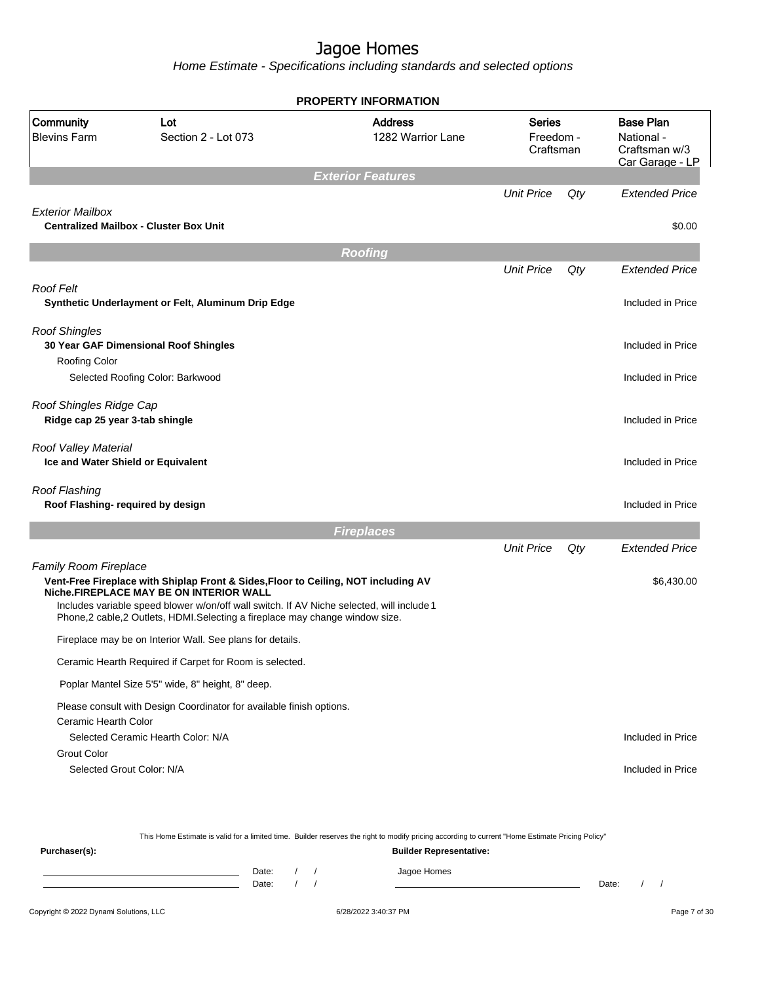|                                                            |                                                                                                                                                                                                                     | <b>PROPERTY INFORMATION</b> |                                         |     |                                                                    |
|------------------------------------------------------------|---------------------------------------------------------------------------------------------------------------------------------------------------------------------------------------------------------------------|-----------------------------|-----------------------------------------|-----|--------------------------------------------------------------------|
| Community<br><b>Blevins Farm</b>                           | <b>Address</b><br>Lot<br>Section 2 - Lot 073<br>1282 Warrior Lane                                                                                                                                                   |                             | <b>Series</b><br>Freedom -<br>Craftsman |     | <b>Base Plan</b><br>National -<br>Craftsman w/3<br>Car Garage - LP |
|                                                            |                                                                                                                                                                                                                     | <b>Exterior Features</b>    |                                         |     |                                                                    |
|                                                            |                                                                                                                                                                                                                     |                             | <b>Unit Price</b>                       | Qty | <b>Extended Price</b>                                              |
| <b>Exterior Mailbox</b>                                    | <b>Centralized Mailbox - Cluster Box Unit</b>                                                                                                                                                                       |                             |                                         |     | \$0.00                                                             |
|                                                            |                                                                                                                                                                                                                     | <b>Roofing</b>              |                                         |     |                                                                    |
|                                                            |                                                                                                                                                                                                                     |                             | <b>Unit Price</b>                       | Qty | <b>Extended Price</b>                                              |
| <b>Roof Felt</b>                                           | Synthetic Underlayment or Felt, Aluminum Drip Edge                                                                                                                                                                  |                             |                                         |     | Included in Price                                                  |
| <b>Roof Shingles</b>                                       |                                                                                                                                                                                                                     |                             |                                         |     |                                                                    |
|                                                            | 30 Year GAF Dimensional Roof Shingles                                                                                                                                                                               |                             |                                         |     | Included in Price                                                  |
| Roofing Color                                              | Selected Roofing Color: Barkwood                                                                                                                                                                                    |                             |                                         |     | Included in Price                                                  |
| Roof Shingles Ridge Cap<br>Ridge cap 25 year 3-tab shingle |                                                                                                                                                                                                                     |                             |                                         |     | Included in Price                                                  |
| Roof Valley Material<br>Ice and Water Shield or Equivalent |                                                                                                                                                                                                                     |                             |                                         |     | Included in Price                                                  |
| <b>Roof Flashing</b><br>Roof Flashing- required by design  |                                                                                                                                                                                                                     |                             |                                         |     | Included in Price                                                  |
|                                                            |                                                                                                                                                                                                                     | <b>Fireplaces</b>           |                                         |     |                                                                    |
|                                                            |                                                                                                                                                                                                                     |                             | <b>Unit Price</b>                       | Qty | <b>Extended Price</b>                                              |
| <b>Family Room Fireplace</b>                               | Vent-Free Fireplace with Shiplap Front & Sides, Floor to Ceiling, NOT including AV                                                                                                                                  |                             |                                         |     | \$6,430.00                                                         |
|                                                            | Niche FIREPLACE MAY BE ON INTERIOR WALL<br>Includes variable speed blower w/on/off wall switch. If AV Niche selected, will include 1<br>Phone,2 cable,2 Outlets, HDMI.Selecting a fireplace may change window size. |                             |                                         |     |                                                                    |
|                                                            | Fireplace may be on Interior Wall. See plans for details.                                                                                                                                                           |                             |                                         |     |                                                                    |
|                                                            | Ceramic Hearth Required if Carpet for Room is selected.                                                                                                                                                             |                             |                                         |     |                                                                    |
|                                                            | Poplar Mantel Size 5'5" wide, 8" height, 8" deep.                                                                                                                                                                   |                             |                                         |     |                                                                    |
|                                                            | Please consult with Design Coordinator for available finish options.                                                                                                                                                |                             |                                         |     |                                                                    |
|                                                            |                                                                                                                                                                                                                     |                             |                                         |     |                                                                    |
| Ceramic Hearth Color                                       | Selected Ceramic Hearth Color: N/A                                                                                                                                                                                  |                             |                                         |     | Included in Price                                                  |
| <b>Grout Color</b><br>Selected Grout Color: N/A            |                                                                                                                                                                                                                     |                             |                                         |     |                                                                    |

|               |       |  | This Home Estimate is valid for a limited time. Builder reserves the right to modify pricing according to current "Home Estimate Pricing Policy" |       |  |
|---------------|-------|--|--------------------------------------------------------------------------------------------------------------------------------------------------|-------|--|
| Purchaser(s): |       |  | <b>Builder Representative:</b>                                                                                                                   |       |  |
|               | Date: |  | Jagoe Homes                                                                                                                                      |       |  |
|               | Date: |  |                                                                                                                                                  | Date: |  |
|               |       |  |                                                                                                                                                  |       |  |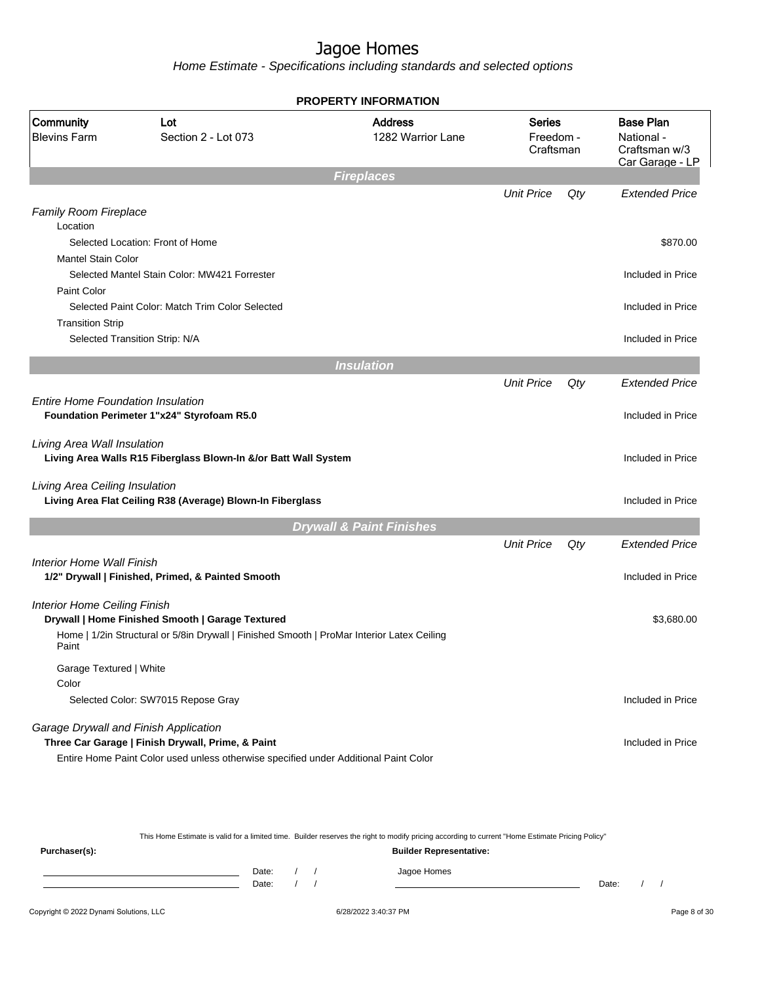Home Estimate - Specifications including standards and selected options

|                                          |                                                                                            | <b>PROPERTY INFORMATION</b>         |                                         |     |                                                                    |
|------------------------------------------|--------------------------------------------------------------------------------------------|-------------------------------------|-----------------------------------------|-----|--------------------------------------------------------------------|
| Community<br><b>Blevins Farm</b>         | Lot<br>Section 2 - Lot 073                                                                 | <b>Address</b><br>1282 Warrior Lane | <b>Series</b><br>Freedom -<br>Craftsman |     | <b>Base Plan</b><br>National -<br>Craftsman w/3<br>Car Garage - LP |
|                                          |                                                                                            | <b>Fireplaces</b>                   |                                         |     |                                                                    |
|                                          |                                                                                            |                                     | <b>Unit Price</b>                       | Qty | <b>Extended Price</b>                                              |
| <b>Family Room Fireplace</b>             |                                                                                            |                                     |                                         |     |                                                                    |
| Location                                 |                                                                                            |                                     |                                         |     |                                                                    |
| <b>Mantel Stain Color</b>                | Selected Location: Front of Home                                                           |                                     |                                         |     | \$870.00                                                           |
|                                          | Selected Mantel Stain Color: MW421 Forrester                                               |                                     |                                         |     | Included in Price                                                  |
| Paint Color                              |                                                                                            |                                     |                                         |     |                                                                    |
|                                          | Selected Paint Color: Match Trim Color Selected                                            |                                     |                                         |     | Included in Price                                                  |
| <b>Transition Strip</b>                  |                                                                                            |                                     |                                         |     |                                                                    |
|                                          | Selected Transition Strip: N/A                                                             |                                     |                                         |     | Included in Price                                                  |
|                                          |                                                                                            | <b>Insulation</b>                   |                                         |     |                                                                    |
|                                          |                                                                                            |                                     | <b>Unit Price</b>                       | Qty | <b>Extended Price</b>                                              |
| <b>Entire Home Foundation Insulation</b> |                                                                                            |                                     |                                         |     |                                                                    |
|                                          | Foundation Perimeter 1"x24" Styrofoam R5.0                                                 |                                     |                                         |     | Included in Price                                                  |
| Living Area Wall Insulation              |                                                                                            |                                     |                                         |     |                                                                    |
|                                          | Living Area Walls R15 Fiberglass Blown-In &/or Batt Wall System                            |                                     |                                         |     | Included in Price                                                  |
|                                          |                                                                                            |                                     |                                         |     |                                                                    |
| Living Area Ceiling Insulation           |                                                                                            |                                     |                                         |     |                                                                    |
|                                          | Living Area Flat Ceiling R38 (Average) Blown-In Fiberglass                                 |                                     |                                         |     | Included in Price                                                  |
|                                          |                                                                                            | <b>Drywall &amp; Paint Finishes</b> |                                         |     |                                                                    |
|                                          |                                                                                            |                                     | <b>Unit Price</b>                       | Qty | <b>Extended Price</b>                                              |
| Interior Home Wall Finish                |                                                                                            |                                     |                                         |     |                                                                    |
|                                          | 1/2" Drywall   Finished, Primed, & Painted Smooth                                          |                                     |                                         |     | Included in Price                                                  |
| <b>Interior Home Ceiling Finish</b>      |                                                                                            |                                     |                                         |     |                                                                    |
|                                          | Drywall   Home Finished Smooth   Garage Textured                                           |                                     |                                         |     | \$3,680.00                                                         |
| Paint                                    | Home   1/2in Structural or 5/8in Drywall   Finished Smooth   ProMar Interior Latex Ceiling |                                     |                                         |     |                                                                    |
| Garage Textured   White<br>Color         |                                                                                            |                                     |                                         |     |                                                                    |
|                                          | Selected Color: SW7015 Repose Gray                                                         |                                     |                                         |     | Included in Price                                                  |
|                                          | Garage Drywall and Finish Application                                                      |                                     |                                         |     |                                                                    |
|                                          | Three Car Garage   Finish Drywall, Prime, & Paint                                          |                                     |                                         |     | Included in Price                                                  |
|                                          | Entire Home Paint Color used unless otherwise specified under Additional Paint Color       |                                     |                                         |     |                                                                    |

This Home Estimate is valid for a limited time. Builder reserves the right to modify pricing according to current "Home Estimate Pricing Policy"

| Purchaser(s): |                |  | <b>Builder Representative:</b> |       |  |
|---------------|----------------|--|--------------------------------|-------|--|
|               | Date:<br>Date: |  | Jagoe Homes                    | Date: |  |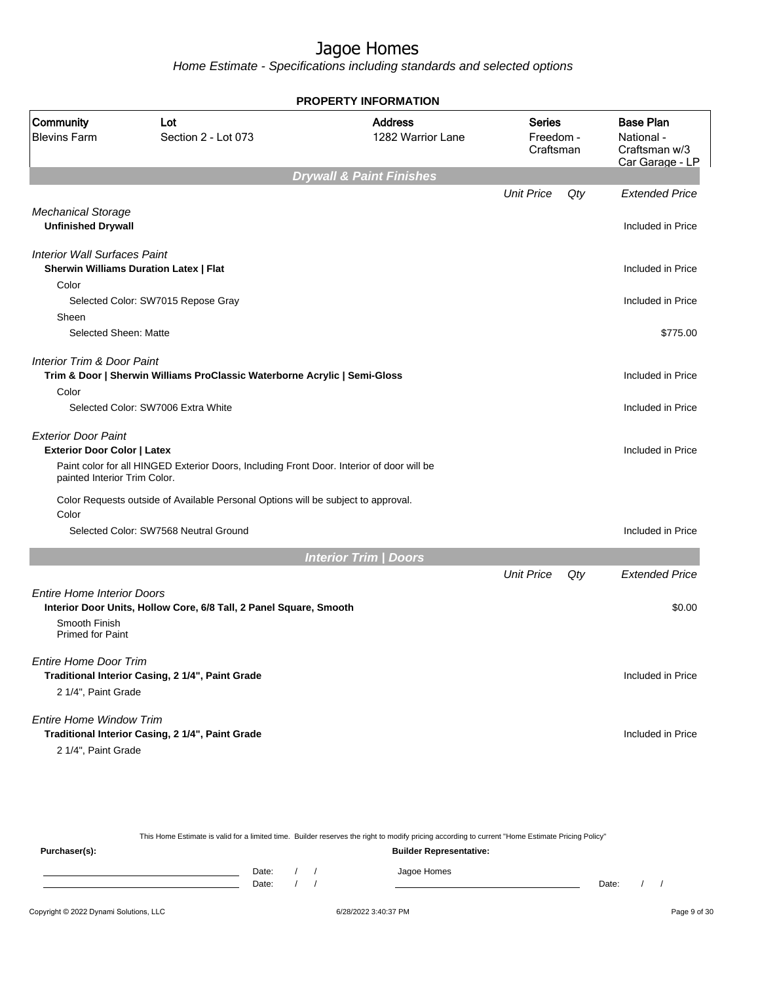Home Estimate - Specifications including standards and selected options

|                                                                                                  |                                                                                                                                                  | <b>PROPERTY INFORMATION</b>         |                                         |     |                                                                    |
|--------------------------------------------------------------------------------------------------|--------------------------------------------------------------------------------------------------------------------------------------------------|-------------------------------------|-----------------------------------------|-----|--------------------------------------------------------------------|
| Community<br><b>Blevins Farm</b>                                                                 | Lot<br>Section 2 - Lot 073                                                                                                                       | <b>Address</b><br>1282 Warrior Lane | <b>Series</b><br>Freedom -<br>Craftsman |     | <b>Base Plan</b><br>National -<br>Craftsman w/3<br>Car Garage - LP |
|                                                                                                  |                                                                                                                                                  | <b>Drywall &amp; Paint Finishes</b> |                                         |     |                                                                    |
|                                                                                                  |                                                                                                                                                  |                                     | <b>Unit Price</b>                       | Qty | <b>Extended Price</b>                                              |
| <b>Mechanical Storage</b><br><b>Unfinished Drywall</b>                                           |                                                                                                                                                  |                                     |                                         |     | Included in Price                                                  |
| <b>Interior Wall Surfaces Paint</b>                                                              | <b>Sherwin Williams Duration Latex   Flat</b>                                                                                                    |                                     |                                         |     | Included in Price                                                  |
| Color                                                                                            | Selected Color: SW7015 Repose Gray                                                                                                               |                                     |                                         |     | Included in Price                                                  |
| Sheen<br>Selected Sheen: Matte                                                                   |                                                                                                                                                  |                                     |                                         |     | \$775.00                                                           |
| <b>Interior Trim &amp; Door Paint</b>                                                            | Trim & Door   Sherwin Williams ProClassic Waterborne Acrylic   Semi-Gloss                                                                        |                                     |                                         |     | Included in Price                                                  |
| Color                                                                                            | Selected Color: SW7006 Extra White                                                                                                               |                                     |                                         |     | Included in Price                                                  |
| <b>Exterior Door Paint</b><br><b>Exterior Door Color   Latex</b><br>painted Interior Trim Color. | Paint color for all HINGED Exterior Doors, Including Front Door. Interior of door will be                                                        |                                     |                                         |     | Included in Price                                                  |
| Color                                                                                            | Color Requests outside of Available Personal Options will be subject to approval.                                                                |                                     |                                         |     |                                                                    |
|                                                                                                  | Selected Color: SW7568 Neutral Ground                                                                                                            |                                     |                                         |     | Included in Price                                                  |
|                                                                                                  |                                                                                                                                                  | <b>Interior Trim / Doors</b>        |                                         |     |                                                                    |
|                                                                                                  |                                                                                                                                                  |                                     | <b>Unit Price</b>                       | Qty | <b>Extended Price</b>                                              |
| <b>Entire Home Interior Doors</b>                                                                | Interior Door Units, Hollow Core, 6/8 Tall, 2 Panel Square, Smooth                                                                               |                                     |                                         |     | \$0.00                                                             |
| Smooth Finish<br><b>Primed for Paint</b>                                                         |                                                                                                                                                  |                                     |                                         |     |                                                                    |
| <b>Entire Home Door Trim</b><br>2 1/4", Paint Grade                                              | Traditional Interior Casing, 2 1/4", Paint Grade                                                                                                 |                                     |                                         |     | Included in Price                                                  |
| <b>Entire Home Window Trim</b><br>2 1/4", Paint Grade                                            | Traditional Interior Casing, 2 1/4", Paint Grade                                                                                                 |                                     |                                         |     | Included in Price                                                  |
|                                                                                                  |                                                                                                                                                  |                                     |                                         |     |                                                                    |
|                                                                                                  | This Home Estimate is valid for a limited time. Builder reserves the right to modify pricing according to current "Home Estimate Pricing Policy" |                                     |                                         |     |                                                                    |

Copyright © 2022 Dynami Solutions, LLC <br>
G/28/2022 3:40:37 PM Page 9 of 30

**Purchaser(s): Builder Representative:**

Date: / / Date: / /

Date: / / Jagoe Homes<br>Date: / / Jagoe Homes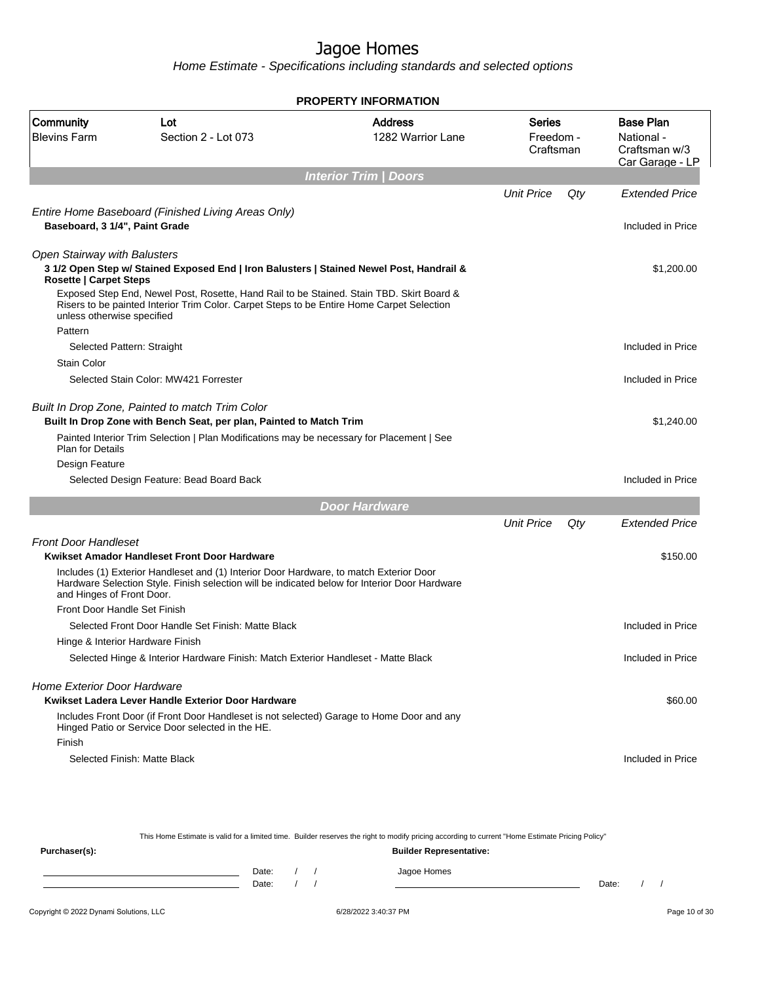Home Estimate - Specifications including standards and selected options

|                                           |                                                                                                                                                                                         | <b>PROPERTY INFORMATION</b>         |                                         |     |                                                                    |
|-------------------------------------------|-----------------------------------------------------------------------------------------------------------------------------------------------------------------------------------------|-------------------------------------|-----------------------------------------|-----|--------------------------------------------------------------------|
| Community<br><b>Blevins Farm</b>          | Lot<br>Section 2 - Lot 073                                                                                                                                                              | <b>Address</b><br>1282 Warrior Lane | <b>Series</b><br>Freedom -<br>Craftsman |     | <b>Base Plan</b><br>National -<br>Craftsman w/3<br>Car Garage - LP |
|                                           |                                                                                                                                                                                         | <b>Interior Trim / Doors</b>        |                                         |     |                                                                    |
|                                           |                                                                                                                                                                                         |                                     | <b>Unit Price</b>                       | Qty | <b>Extended Price</b>                                              |
|                                           | Entire Home Baseboard (Finished Living Areas Only)                                                                                                                                      |                                     |                                         |     |                                                                    |
| Baseboard, 3 1/4", Paint Grade            |                                                                                                                                                                                         |                                     |                                         |     | Included in Price                                                  |
| Open Stairway with Balusters              |                                                                                                                                                                                         |                                     |                                         |     |                                                                    |
| <b>Rosette   Carpet Steps</b>             | 3 1/2 Open Step w/ Stained Exposed End   Iron Balusters   Stained Newel Post, Handrail &                                                                                                |                                     |                                         |     | \$1,200.00                                                         |
| unless otherwise specified                | Exposed Step End, Newel Post, Rosette, Hand Rail to be Stained. Stain TBD. Skirt Board &<br>Risers to be painted Interior Trim Color. Carpet Steps to be Entire Home Carpet Selection   |                                     |                                         |     |                                                                    |
| Pattern                                   |                                                                                                                                                                                         |                                     |                                         |     |                                                                    |
| Selected Pattern: Straight                |                                                                                                                                                                                         |                                     |                                         |     | Included in Price                                                  |
| <b>Stain Color</b>                        |                                                                                                                                                                                         |                                     |                                         |     |                                                                    |
|                                           | Selected Stain Color: MW421 Forrester                                                                                                                                                   |                                     |                                         |     | Included in Price                                                  |
|                                           | Built In Drop Zone, Painted to match Trim Color<br>Built In Drop Zone with Bench Seat, per plan, Painted to Match Trim                                                                  |                                     |                                         |     | \$1,240.00                                                         |
| <b>Plan for Details</b><br>Design Feature | Painted Interior Trim Selection   Plan Modifications may be necessary for Placement   See                                                                                               |                                     |                                         |     |                                                                    |
|                                           | Selected Design Feature: Bead Board Back                                                                                                                                                |                                     |                                         |     | Included in Price                                                  |
|                                           |                                                                                                                                                                                         |                                     |                                         |     |                                                                    |
|                                           |                                                                                                                                                                                         | <b>Door Hardware</b>                |                                         |     |                                                                    |
|                                           |                                                                                                                                                                                         |                                     | <b>Unit Price</b>                       | Qty | <b>Extended Price</b>                                              |
| <b>Front Door Handleset</b>               |                                                                                                                                                                                         |                                     |                                         |     |                                                                    |
|                                           | Kwikset Amador Handleset Front Door Hardware                                                                                                                                            |                                     |                                         |     | \$150.00                                                           |
| and Hinges of Front Door.                 | Includes (1) Exterior Handleset and (1) Interior Door Hardware, to match Exterior Door<br>Hardware Selection Style. Finish selection will be indicated below for Interior Door Hardware |                                     |                                         |     |                                                                    |
| Front Door Handle Set Finish              |                                                                                                                                                                                         |                                     |                                         |     |                                                                    |
|                                           | Selected Front Door Handle Set Finish: Matte Black                                                                                                                                      |                                     |                                         |     | Included in Price                                                  |
|                                           | Hinge & Interior Hardware Finish                                                                                                                                                        |                                     |                                         |     |                                                                    |
|                                           | Selected Hinge & Interior Hardware Finish: Match Exterior Handleset - Matte Black                                                                                                       |                                     |                                         |     | Included in Price                                                  |
| <b>Home Exterior Door Hardware</b>        |                                                                                                                                                                                         |                                     |                                         |     |                                                                    |
|                                           | Kwikset Ladera Lever Handle Exterior Door Hardware                                                                                                                                      |                                     |                                         |     | \$60.00                                                            |
|                                           | Includes Front Door (if Front Door Handleset is not selected) Garage to Home Door and any<br>Hinged Patio or Service Door selected in the HE.                                           |                                     |                                         |     |                                                                    |
| Finish                                    |                                                                                                                                                                                         |                                     |                                         |     |                                                                    |
|                                           | Selected Finish: Matte Black                                                                                                                                                            |                                     |                                         |     | Included in Price                                                  |

This Home Estimate is valid for a limited time. Builder reserves the right to modify pricing according to current "Home Estimate Pricing Policy" **Purchaser(s): Builder Representative:** Date: / / Jagoe Homes<br>Date: / / Jagoe Homes Date: / / Date: / /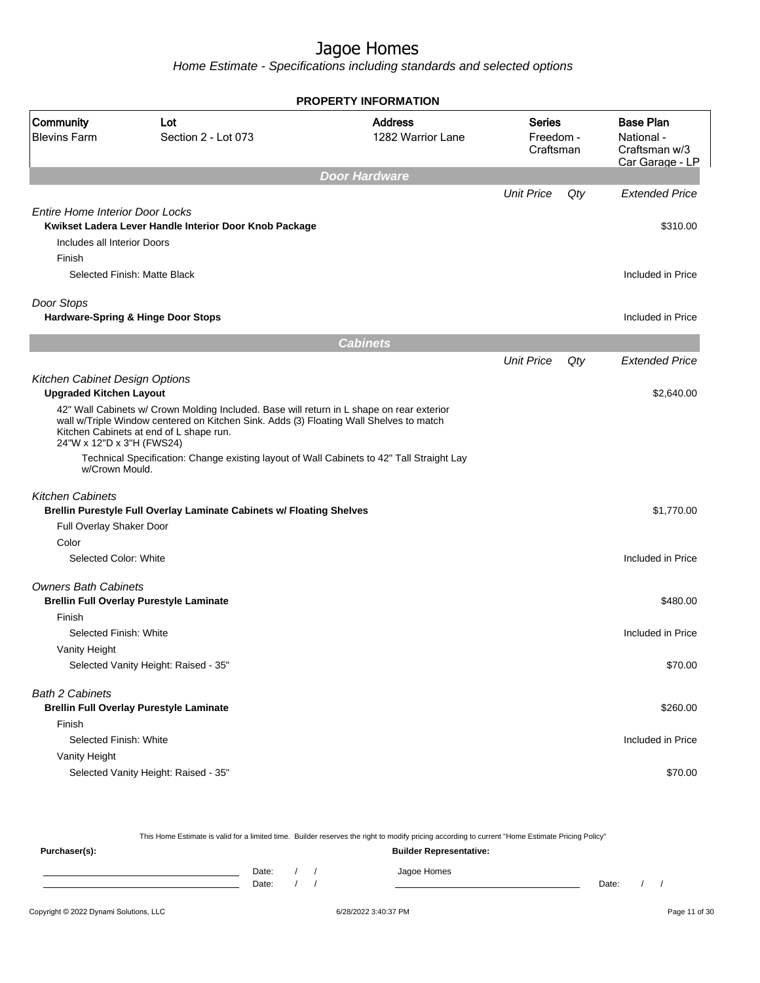|                                                                       |                                                                                                                                                                                                                                | <b>PROPERTY INFORMATION</b> |                                         |     |                                                                    |
|-----------------------------------------------------------------------|--------------------------------------------------------------------------------------------------------------------------------------------------------------------------------------------------------------------------------|-----------------------------|-----------------------------------------|-----|--------------------------------------------------------------------|
| Community<br><b>Blevins Farm</b>                                      | <b>Address</b><br>Lot<br>Section 2 - Lot 073<br>1282 Warrior Lane                                                                                                                                                              |                             | <b>Series</b><br>Freedom -<br>Craftsman |     | <b>Base Plan</b><br>National -<br>Craftsman w/3<br>Car Garage - LP |
|                                                                       |                                                                                                                                                                                                                                | <b>Door Hardware</b>        |                                         |     |                                                                    |
|                                                                       |                                                                                                                                                                                                                                |                             | <b>Unit Price</b>                       | Qty | <b>Extended Price</b>                                              |
| <b>Entire Home Interior Door Locks</b><br>Includes all Interior Doors | Kwikset Ladera Lever Handle Interior Door Knob Package                                                                                                                                                                         |                             |                                         |     | \$310.00                                                           |
| Finish                                                                | Selected Finish: Matte Black                                                                                                                                                                                                   |                             |                                         |     | Included in Price                                                  |
| Door Stops                                                            | Hardware-Spring & Hinge Door Stops                                                                                                                                                                                             |                             |                                         |     | Included in Price                                                  |
|                                                                       |                                                                                                                                                                                                                                | <b>Cabinets</b>             |                                         |     |                                                                    |
|                                                                       |                                                                                                                                                                                                                                |                             | <b>Unit Price</b>                       | Qty | <b>Extended Price</b>                                              |
| Kitchen Cabinet Design Options<br><b>Upgraded Kitchen Layout</b>      |                                                                                                                                                                                                                                |                             |                                         |     | \$2,640.00                                                         |
| 24"W x 12"D x 3"H (FWS24)                                             | 42" Wall Cabinets w/ Crown Molding Included. Base will return in L shape on rear exterior<br>wall w/Triple Window centered on Kitchen Sink. Adds (3) Floating Wall Shelves to match<br>Kitchen Cabinets at end of L shape run. |                             |                                         |     |                                                                    |
| w/Crown Mould.                                                        | Technical Specification: Change existing layout of Wall Cabinets to 42" Tall Straight Lay                                                                                                                                      |                             |                                         |     |                                                                    |
| <b>Kitchen Cabinets</b>                                               | Brellin Purestyle Full Overlay Laminate Cabinets w/ Floating Shelves                                                                                                                                                           |                             |                                         |     | \$1,770.00                                                         |
| Full Overlay Shaker Door                                              |                                                                                                                                                                                                                                |                             |                                         |     |                                                                    |
| Color                                                                 |                                                                                                                                                                                                                                |                             |                                         |     |                                                                    |
| Selected Color: White                                                 |                                                                                                                                                                                                                                |                             |                                         |     | Included in Price                                                  |
| <b>Owners Bath Cabinets</b>                                           | <b>Brellin Full Overlay Purestyle Laminate</b>                                                                                                                                                                                 |                             |                                         |     | \$480.00                                                           |
| Finish                                                                |                                                                                                                                                                                                                                |                             |                                         |     |                                                                    |
| Selected Finish: White                                                |                                                                                                                                                                                                                                |                             |                                         |     | Included in Price                                                  |
| Vanity Height                                                         |                                                                                                                                                                                                                                |                             |                                         |     |                                                                    |
|                                                                       | Selected Vanity Height: Raised - 35"                                                                                                                                                                                           |                             |                                         |     | \$70.00                                                            |
| <b>Bath 2 Cabinets</b>                                                | <b>Brellin Full Overlay Purestyle Laminate</b>                                                                                                                                                                                 |                             |                                         |     | \$260.00                                                           |
| Finish                                                                |                                                                                                                                                                                                                                |                             |                                         |     |                                                                    |
| Selected Finish: White                                                |                                                                                                                                                                                                                                |                             |                                         |     | Included in Price                                                  |
| Vanity Height                                                         |                                                                                                                                                                                                                                |                             |                                         |     |                                                                    |
|                                                                       | Selected Vanity Height: Raised - 35"                                                                                                                                                                                           |                             |                                         |     | \$70.00                                                            |
|                                                                       |                                                                                                                                                                                                                                |                             |                                         |     |                                                                    |

| This Home Estimate is valid for a limited time. Builder reserves the right to modify pricing according to current "Home Estimate Pricing Policy" |                                |       |  |  |             |       |  |  |
|--------------------------------------------------------------------------------------------------------------------------------------------------|--------------------------------|-------|--|--|-------------|-------|--|--|
| Purchaser(s):                                                                                                                                    | <b>Builder Representative:</b> |       |  |  |             |       |  |  |
|                                                                                                                                                  |                                | Date: |  |  | Jagoe Homes |       |  |  |
|                                                                                                                                                  |                                | Date: |  |  |             | Date: |  |  |
|                                                                                                                                                  |                                |       |  |  |             |       |  |  |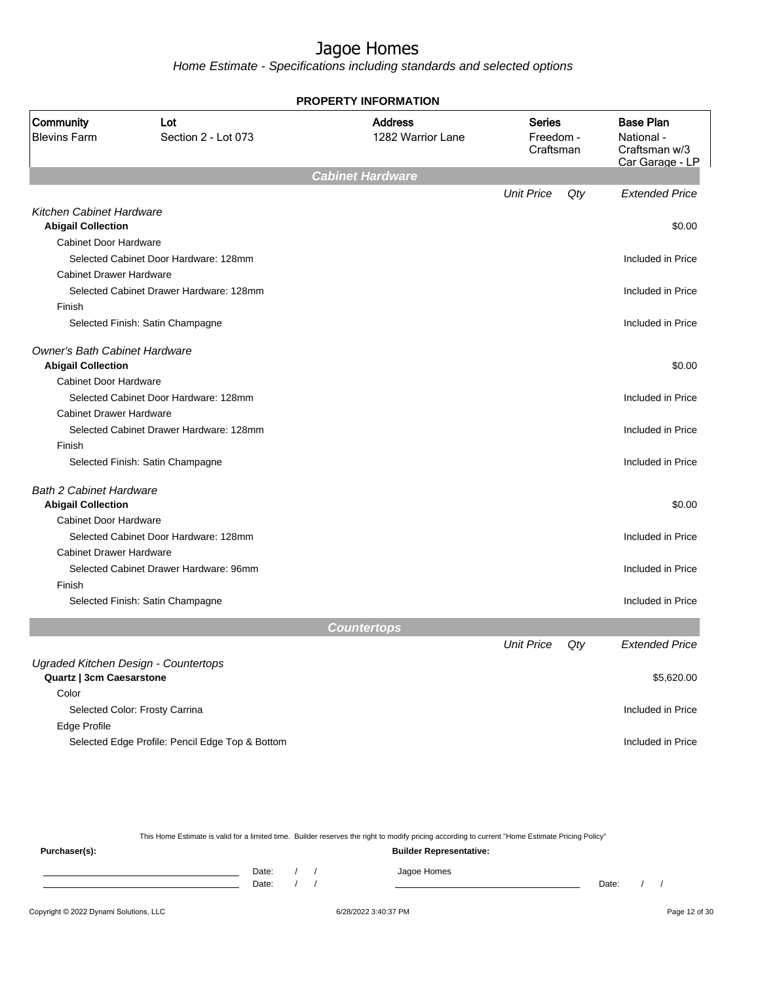Home Estimate - Specifications including standards and selected options

|                                                                   |                                                 | <b>PROPERTY INFORMATION</b>         |                                         |     |                                                                    |
|-------------------------------------------------------------------|-------------------------------------------------|-------------------------------------|-----------------------------------------|-----|--------------------------------------------------------------------|
| Community<br><b>Blevins Farm</b>                                  | Lot<br>Section 2 - Lot 073                      | <b>Address</b><br>1282 Warrior Lane | <b>Series</b><br>Freedom -<br>Craftsman |     | <b>Base Plan</b><br>National -<br>Craftsman w/3<br>Car Garage - LP |
|                                                                   |                                                 | <b>Cabinet Hardware</b>             |                                         |     |                                                                    |
|                                                                   |                                                 |                                     | <b>Unit Price</b>                       | Qty | <b>Extended Price</b>                                              |
| <b>Kitchen Cabinet Hardware</b><br><b>Abigail Collection</b>      |                                                 |                                     |                                         |     | \$0.00                                                             |
| <b>Cabinet Door Hardware</b>                                      |                                                 |                                     |                                         |     |                                                                    |
|                                                                   | Selected Cabinet Door Hardware: 128mm           |                                     |                                         |     | Included in Price                                                  |
| <b>Cabinet Drawer Hardware</b>                                    |                                                 |                                     |                                         |     |                                                                    |
|                                                                   | Selected Cabinet Drawer Hardware: 128mm         |                                     |                                         |     | Included in Price                                                  |
| Finish                                                            |                                                 |                                     |                                         |     |                                                                    |
|                                                                   | Selected Finish: Satin Champagne                |                                     |                                         |     | Included in Price                                                  |
| <b>Owner's Bath Cabinet Hardware</b><br><b>Abigail Collection</b> |                                                 |                                     |                                         |     | \$0.00                                                             |
| <b>Cabinet Door Hardware</b>                                      |                                                 |                                     |                                         |     |                                                                    |
|                                                                   | Selected Cabinet Door Hardware: 128mm           |                                     |                                         |     | Included in Price                                                  |
| <b>Cabinet Drawer Hardware</b>                                    |                                                 |                                     |                                         |     |                                                                    |
|                                                                   | Selected Cabinet Drawer Hardware: 128mm         |                                     |                                         |     | Included in Price                                                  |
| Finish                                                            |                                                 |                                     |                                         |     |                                                                    |
|                                                                   | Selected Finish: Satin Champagne                |                                     |                                         |     | Included in Price                                                  |
| <b>Bath 2 Cabinet Hardware</b><br><b>Abigail Collection</b>       |                                                 |                                     |                                         |     | \$0.00                                                             |
| Cabinet Door Hardware                                             |                                                 |                                     |                                         |     |                                                                    |
|                                                                   | Selected Cabinet Door Hardware: 128mm           |                                     |                                         |     | Included in Price                                                  |
| <b>Cabinet Drawer Hardware</b>                                    |                                                 |                                     |                                         |     |                                                                    |
|                                                                   | Selected Cabinet Drawer Hardware: 96mm          |                                     |                                         |     | Included in Price                                                  |
| Finish                                                            |                                                 |                                     |                                         |     |                                                                    |
|                                                                   | Selected Finish: Satin Champagne                |                                     |                                         |     | Included in Price                                                  |
|                                                                   |                                                 | <b>Countertops</b>                  |                                         |     |                                                                    |
|                                                                   |                                                 |                                     | <b>Unit Price</b>                       | Qty | <b>Extended Price</b>                                              |
| Ugraded Kitchen Design - Countertops<br>Quartz   3cm Caesarstone  |                                                 |                                     |                                         |     | \$5,620.00                                                         |
| Color                                                             |                                                 |                                     |                                         |     |                                                                    |
|                                                                   | Selected Color: Frosty Carrina                  |                                     |                                         |     | Included in Price                                                  |
| Edge Profile                                                      |                                                 |                                     |                                         |     |                                                                    |
|                                                                   | Selected Edge Profile: Pencil Edge Top & Bottom |                                     |                                         |     | Included in Price                                                  |

This Home Estimate is valid for a limited time. Builder reserves the right to modify pricing according to current "Home Estimate Pricing Policy"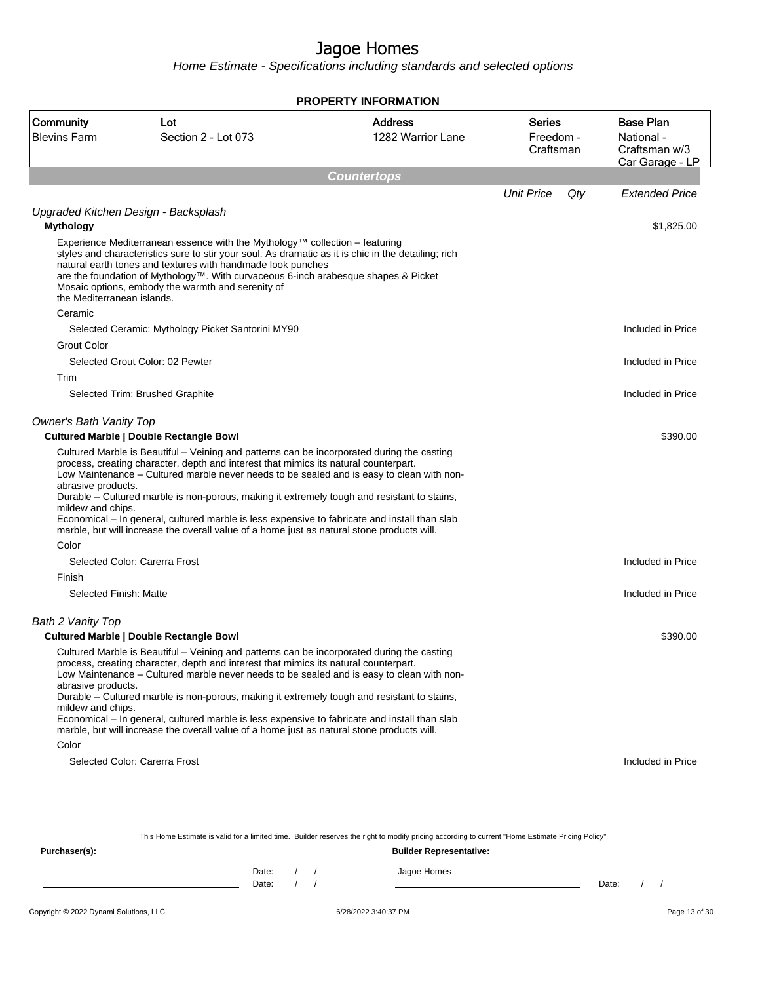Home Estimate - Specifications including standards and selected options

|                                                  |                                                                                                                                                                                                                                                                                                                                                                                                                                                                                                                                                                               | <b>PROPERTY INFORMATION</b>         |                                         |                                                                    |
|--------------------------------------------------|-------------------------------------------------------------------------------------------------------------------------------------------------------------------------------------------------------------------------------------------------------------------------------------------------------------------------------------------------------------------------------------------------------------------------------------------------------------------------------------------------------------------------------------------------------------------------------|-------------------------------------|-----------------------------------------|--------------------------------------------------------------------|
| Community<br><b>Blevins Farm</b>                 | Lot<br>Section 2 - Lot 073                                                                                                                                                                                                                                                                                                                                                                                                                                                                                                                                                    | <b>Address</b><br>1282 Warrior Lane | <b>Series</b><br>Freedom -<br>Craftsman | <b>Base Plan</b><br>National -<br>Craftsman w/3<br>Car Garage - LP |
|                                                  |                                                                                                                                                                                                                                                                                                                                                                                                                                                                                                                                                                               | <b>Countertops</b>                  |                                         |                                                                    |
|                                                  |                                                                                                                                                                                                                                                                                                                                                                                                                                                                                                                                                                               |                                     | <b>Unit Price</b><br>Qty                | <b>Extended Price</b>                                              |
| <b>Mythology</b>                                 | Upgraded Kitchen Design - Backsplash                                                                                                                                                                                                                                                                                                                                                                                                                                                                                                                                          |                                     |                                         | \$1,825.00                                                         |
| the Mediterranean islands.                       | Experience Mediterranean essence with the Mythology™ collection - featuring<br>styles and characteristics sure to stir your soul. As dramatic as it is chic in the detailing; rich<br>natural earth tones and textures with handmade look punches<br>are the foundation of Mythology™. With curvaceous 6-inch arabesque shapes & Picket<br>Mosaic options, embody the warmth and serenity of                                                                                                                                                                                  |                                     |                                         |                                                                    |
| Ceramic                                          |                                                                                                                                                                                                                                                                                                                                                                                                                                                                                                                                                                               |                                     |                                         |                                                                    |
|                                                  | Selected Ceramic: Mythology Picket Santorini MY90                                                                                                                                                                                                                                                                                                                                                                                                                                                                                                                             |                                     |                                         | Included in Price                                                  |
| <b>Grout Color</b>                               |                                                                                                                                                                                                                                                                                                                                                                                                                                                                                                                                                                               |                                     |                                         |                                                                    |
|                                                  | Selected Grout Color: 02 Pewter                                                                                                                                                                                                                                                                                                                                                                                                                                                                                                                                               |                                     |                                         | Included in Price                                                  |
| Trim                                             |                                                                                                                                                                                                                                                                                                                                                                                                                                                                                                                                                                               |                                     |                                         |                                                                    |
|                                                  | Selected Trim: Brushed Graphite                                                                                                                                                                                                                                                                                                                                                                                                                                                                                                                                               |                                     |                                         | Included in Price                                                  |
| <b>Owner's Bath Vanity Top</b>                   |                                                                                                                                                                                                                                                                                                                                                                                                                                                                                                                                                                               |                                     |                                         |                                                                    |
|                                                  | <b>Cultured Marble   Double Rectangle Bowl</b>                                                                                                                                                                                                                                                                                                                                                                                                                                                                                                                                |                                     |                                         | \$390.00                                                           |
| abrasive products.<br>mildew and chips.          | process, creating character, depth and interest that mimics its natural counterpart.<br>Low Maintenance - Cultured marble never needs to be sealed and is easy to clean with non-<br>Durable – Cultured marble is non-porous, making it extremely tough and resistant to stains,<br>Economical - In general, cultured marble is less expensive to fabricate and install than slab<br>marble, but will increase the overall value of a home just as natural stone products will.                                                                                               |                                     |                                         |                                                                    |
| Color                                            |                                                                                                                                                                                                                                                                                                                                                                                                                                                                                                                                                                               |                                     |                                         |                                                                    |
|                                                  | Selected Color: Carerra Frost                                                                                                                                                                                                                                                                                                                                                                                                                                                                                                                                                 |                                     |                                         | Included in Price                                                  |
| Finish                                           |                                                                                                                                                                                                                                                                                                                                                                                                                                                                                                                                                                               |                                     |                                         |                                                                    |
| Selected Finish: Matte                           |                                                                                                                                                                                                                                                                                                                                                                                                                                                                                                                                                                               |                                     |                                         | Included in Price                                                  |
| Bath 2 Vanity Top                                |                                                                                                                                                                                                                                                                                                                                                                                                                                                                                                                                                                               |                                     |                                         |                                                                    |
|                                                  | <b>Cultured Marble   Double Rectangle Bowl</b>                                                                                                                                                                                                                                                                                                                                                                                                                                                                                                                                |                                     |                                         | \$390.00                                                           |
| abrasive products.<br>mildew and chips.<br>Color | Cultured Marble is Beautiful – Veining and patterns can be incorporated during the casting<br>process, creating character, depth and interest that mimics its natural counterpart.<br>Low Maintenance - Cultured marble never needs to be sealed and is easy to clean with non-<br>Durable – Cultured marble is non-porous, making it extremely tough and resistant to stains,<br>Economical – In general, cultured marble is less expensive to fabricate and install than slab<br>marble, but will increase the overall value of a home just as natural stone products will. |                                     |                                         |                                                                    |
|                                                  | Selected Color: Carerra Frost                                                                                                                                                                                                                                                                                                                                                                                                                                                                                                                                                 |                                     |                                         | Included in Price                                                  |
|                                                  | This Home Estimate is valid for a limited time. Builder reserves the right to modify pricing according to current "Home Estimate Pricing Policy"                                                                                                                                                                                                                                                                                                                                                                                                                              |                                     |                                         |                                                                    |
| Purchaser(s):                                    |                                                                                                                                                                                                                                                                                                                                                                                                                                                                                                                                                                               | <b>Builder Representative:</b>      |                                         |                                                                    |

Date: / / Jagoe Homes<br>Date: / / Jagoe Homes Date: / / Date: / /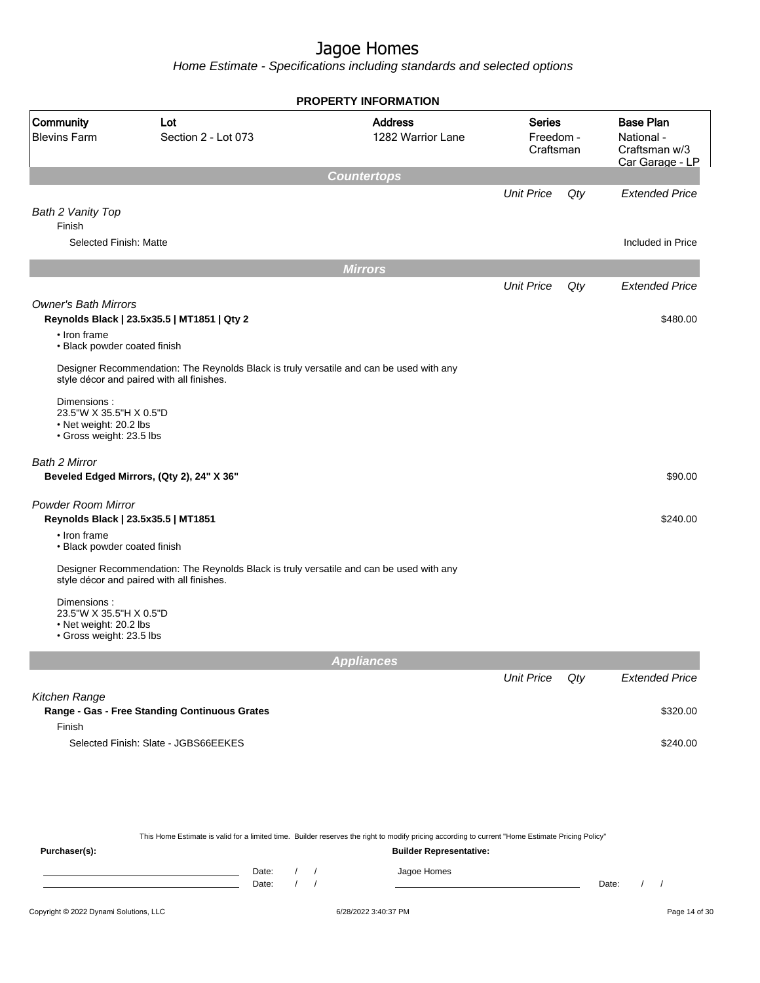Home Estimate - Specifications including standards and selected options

|                                                                                              |                                                                                                                                      | <b>PROPERTY INFORMATION</b>         |                                         |     |                                                                    |
|----------------------------------------------------------------------------------------------|--------------------------------------------------------------------------------------------------------------------------------------|-------------------------------------|-----------------------------------------|-----|--------------------------------------------------------------------|
| Community<br><b>Blevins Farm</b>                                                             | Lot<br>Section 2 - Lot 073                                                                                                           | <b>Address</b><br>1282 Warrior Lane | <b>Series</b><br>Freedom -<br>Craftsman |     | <b>Base Plan</b><br>National -<br>Craftsman w/3<br>Car Garage - LP |
|                                                                                              |                                                                                                                                      | <b>Countertops</b>                  |                                         |     |                                                                    |
|                                                                                              |                                                                                                                                      |                                     | <b>Unit Price</b>                       | Qty | <b>Extended Price</b>                                              |
| Bath 2 Vanity Top                                                                            |                                                                                                                                      |                                     |                                         |     |                                                                    |
| Finish                                                                                       |                                                                                                                                      |                                     |                                         |     |                                                                    |
| Selected Finish: Matte                                                                       |                                                                                                                                      |                                     |                                         |     | Included in Price                                                  |
|                                                                                              |                                                                                                                                      | <b>Mirrors</b>                      |                                         |     |                                                                    |
|                                                                                              |                                                                                                                                      |                                     | <b>Unit Price</b>                       | Qty | <b>Extended Price</b>                                              |
| <b>Owner's Bath Mirrors</b>                                                                  |                                                                                                                                      |                                     |                                         |     |                                                                    |
|                                                                                              | Reynolds Black   23.5x35.5   MT1851   Qty 2                                                                                          |                                     |                                         |     | \$480.00                                                           |
| • Iron frame<br>• Black powder coated finish                                                 |                                                                                                                                      |                                     |                                         |     |                                                                    |
|                                                                                              | Designer Recommendation: The Reynolds Black is truly versatile and can be used with any<br>style décor and paired with all finishes. |                                     |                                         |     |                                                                    |
| Dimensions:<br>23.5"W X 35.5"H X 0.5"D<br>• Net weight: 20.2 lbs<br>· Gross weight: 23.5 lbs |                                                                                                                                      |                                     |                                         |     |                                                                    |
| Bath 2 Mirror                                                                                | Beveled Edged Mirrors, (Qty 2), 24" X 36"                                                                                            |                                     |                                         |     | \$90.00                                                            |
| <b>Powder Room Mirror</b>                                                                    | Reynolds Black   23.5x35.5   MT1851                                                                                                  |                                     |                                         |     | \$240.00                                                           |
| • Iron frame<br>· Black powder coated finish                                                 |                                                                                                                                      |                                     |                                         |     |                                                                    |
|                                                                                              | Designer Recommendation: The Reynolds Black is truly versatile and can be used with any<br>style décor and paired with all finishes. |                                     |                                         |     |                                                                    |
| Dimensions:<br>23.5"W X 35.5"H X 0.5"D<br>• Net weight: 20.2 lbs<br>· Gross weight: 23.5 lbs |                                                                                                                                      |                                     |                                         |     |                                                                    |
|                                                                                              |                                                                                                                                      | <b>Appliances</b>                   |                                         |     |                                                                    |
|                                                                                              |                                                                                                                                      |                                     | <b>Unit Price</b>                       | Qty | <b>Extended Price</b>                                              |
| Kitchen Range                                                                                | Range - Gas - Free Standing Continuous Grates                                                                                        |                                     |                                         |     | \$320.00                                                           |
| Finish                                                                                       |                                                                                                                                      |                                     |                                         |     |                                                                    |
|                                                                                              | Selected Finish: Slate - JGBS66EEKES                                                                                                 |                                     |                                         |     | \$240.00                                                           |
|                                                                                              |                                                                                                                                      |                                     |                                         |     |                                                                    |
|                                                                                              |                                                                                                                                      |                                     |                                         |     |                                                                    |

This Home Estimate is valid for a limited time. Builder reserves the right to modify pricing according to current "Home Estimate Pricing Policy"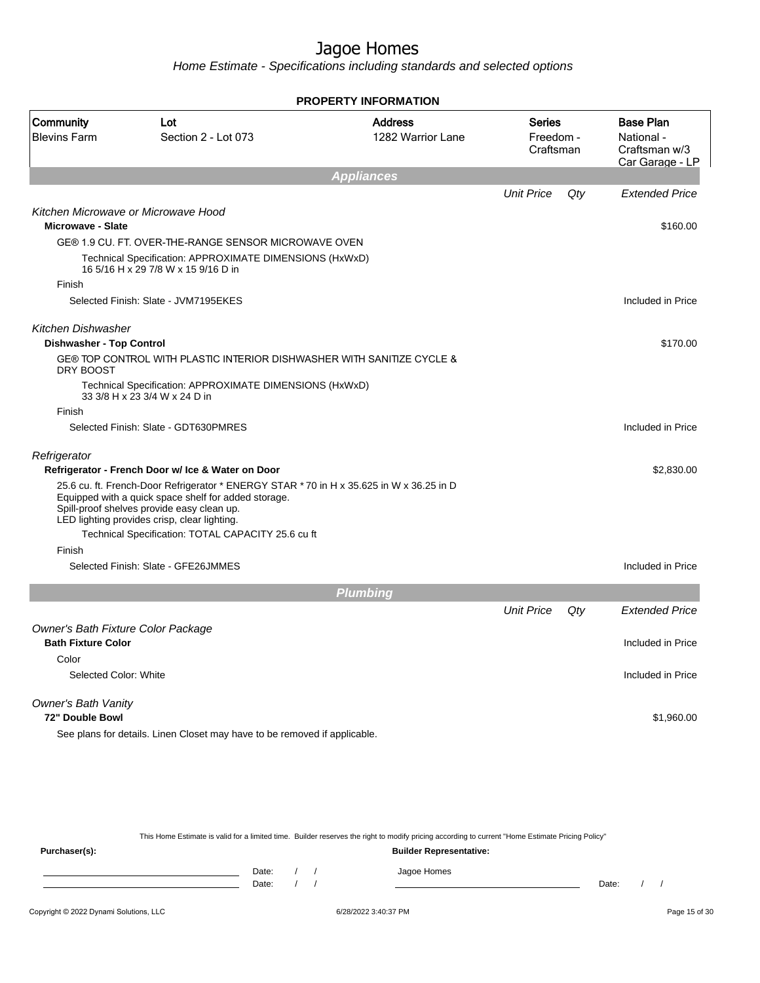Home Estimate - Specifications including standards and selected options

|                                    |                                                                                                                                                                                                                                                | <b>PROPERTY INFORMATION</b>         |                                         |     |                                                                    |
|------------------------------------|------------------------------------------------------------------------------------------------------------------------------------------------------------------------------------------------------------------------------------------------|-------------------------------------|-----------------------------------------|-----|--------------------------------------------------------------------|
| Community<br><b>Blevins Farm</b>   | Lot<br>Section 2 - Lot 073                                                                                                                                                                                                                     | <b>Address</b><br>1282 Warrior Lane | <b>Series</b><br>Freedom -<br>Craftsman |     | <b>Base Plan</b><br>National -<br>Craftsman w/3<br>Car Garage - LP |
|                                    |                                                                                                                                                                                                                                                | <b>Appliances</b>                   |                                         |     |                                                                    |
|                                    | Kitchen Microwave or Microwave Hood                                                                                                                                                                                                            |                                     | <b>Unit Price</b>                       | Qty | <b>Extended Price</b>                                              |
| <b>Microwave - Slate</b>           |                                                                                                                                                                                                                                                |                                     |                                         |     | \$160.00                                                           |
|                                    | GE® 1.9 CU. FT. OVER-THE-RANGE SENSOR MICROWAVE OVEN                                                                                                                                                                                           |                                     |                                         |     |                                                                    |
|                                    | Technical Specification: APPROXIMATE DIMENSIONS (HxWxD)<br>16 5/16 H x 29 7/8 W x 15 9/16 D in                                                                                                                                                 |                                     |                                         |     |                                                                    |
| Finish                             |                                                                                                                                                                                                                                                |                                     |                                         |     |                                                                    |
|                                    | Selected Finish: Slate - JVM7195EKES                                                                                                                                                                                                           |                                     |                                         |     | Included in Price                                                  |
| Kitchen Dishwasher                 |                                                                                                                                                                                                                                                |                                     |                                         |     |                                                                    |
| <b>Dishwasher - Top Control</b>    |                                                                                                                                                                                                                                                |                                     |                                         |     | \$170.00                                                           |
| DRY BOOST                          | GE® TOP CONTROL WITH PLASTIC INTERIOR DISHWASHER WITH SANITIZE CYCLE &                                                                                                                                                                         |                                     |                                         |     |                                                                    |
|                                    | Technical Specification: APPROXIMATE DIMENSIONS (HxWxD)<br>33 3/8 H x 23 3/4 W x 24 D in                                                                                                                                                       |                                     |                                         |     |                                                                    |
| Finish                             |                                                                                                                                                                                                                                                |                                     |                                         |     |                                                                    |
|                                    | Selected Finish: Slate - GDT630PMRES                                                                                                                                                                                                           |                                     |                                         |     | Included in Price                                                  |
| Refrigerator                       |                                                                                                                                                                                                                                                |                                     |                                         |     |                                                                    |
|                                    | Refrigerator - French Door w/ Ice & Water on Door                                                                                                                                                                                              |                                     |                                         |     | \$2,830.00                                                         |
|                                    | 25.6 cu. ft. French-Door Refrigerator * ENERGY STAR * 70 in H x 35.625 in W x 36.25 in D<br>Equipped with a quick space shelf for added storage.<br>Spill-proof shelves provide easy clean up.<br>LED lighting provides crisp, clear lighting. |                                     |                                         |     |                                                                    |
|                                    | Technical Specification: TOTAL CAPACITY 25.6 cu ft                                                                                                                                                                                             |                                     |                                         |     |                                                                    |
| Finish                             |                                                                                                                                                                                                                                                |                                     |                                         |     |                                                                    |
|                                    | Selected Finish: Slate - GFE26JMMES                                                                                                                                                                                                            |                                     |                                         |     | Included in Price                                                  |
|                                    |                                                                                                                                                                                                                                                | <b>Plumbing</b>                     |                                         |     |                                                                    |
|                                    |                                                                                                                                                                                                                                                |                                     | <b>Unit Price</b>                       | Qty | <b>Extended Price</b>                                              |
| Owner's Bath Fixture Color Package |                                                                                                                                                                                                                                                |                                     |                                         |     |                                                                    |
| <b>Bath Fixture Color</b>          |                                                                                                                                                                                                                                                |                                     |                                         |     | Included in Price                                                  |
| Color                              |                                                                                                                                                                                                                                                |                                     |                                         |     |                                                                    |
| Selected Color: White              |                                                                                                                                                                                                                                                |                                     |                                         |     | Included in Price                                                  |
| <b>Owner's Bath Vanity</b>         |                                                                                                                                                                                                                                                |                                     |                                         |     |                                                                    |
| 72" Double Bowl                    |                                                                                                                                                                                                                                                |                                     |                                         |     | \$1,960.00                                                         |
|                                    | See plans for details. Linen Closet may have to be removed if applicable.                                                                                                                                                                      |                                     |                                         |     |                                                                    |

This Home Estimate is valid for a limited time. Builder reserves the right to modify pricing according to current "Home Estimate Pricing Policy" **Purchaser(s): Builder Representative:** Date: / / Jagoe Homes<br>Date: / / Jagoe Homes Date: / / Date: / /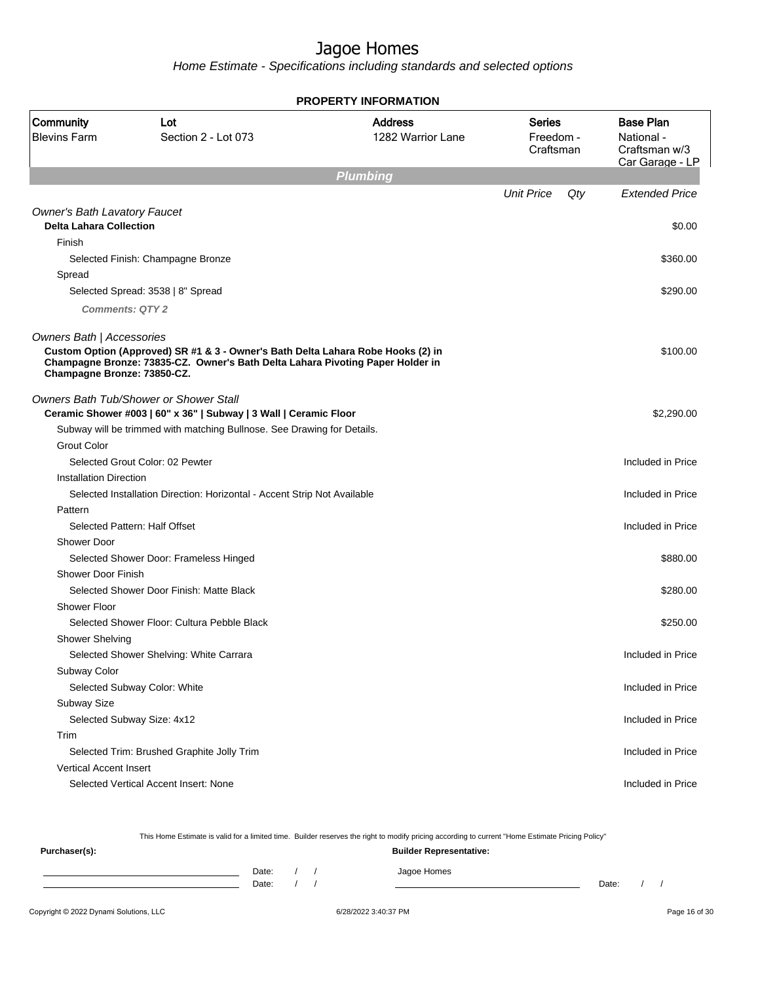Home Estimate - Specifications including standards and selected options

|                                                          |                                                                                                                                                                    | <b>PROPERTY INFORMATION</b>         |                                         |     |                                                                    |
|----------------------------------------------------------|--------------------------------------------------------------------------------------------------------------------------------------------------------------------|-------------------------------------|-----------------------------------------|-----|--------------------------------------------------------------------|
| Community<br><b>Blevins Farm</b>                         | Lot<br>Section 2 - Lot 073                                                                                                                                         | <b>Address</b><br>1282 Warrior Lane | <b>Series</b><br>Freedom -<br>Craftsman |     | <b>Base Plan</b><br>National -<br>Craftsman w/3<br>Car Garage - LP |
|                                                          |                                                                                                                                                                    | <b>Plumbing</b>                     |                                         |     |                                                                    |
|                                                          |                                                                                                                                                                    |                                     | <b>Unit Price</b>                       | Qty | <b>Extended Price</b>                                              |
| <b>Owner's Bath Lavatory Faucet</b>                      |                                                                                                                                                                    |                                     |                                         |     |                                                                    |
| <b>Delta Lahara Collection</b>                           |                                                                                                                                                                    |                                     |                                         |     | \$0.00                                                             |
| Finish                                                   |                                                                                                                                                                    |                                     |                                         |     |                                                                    |
|                                                          | Selected Finish: Champagne Bronze                                                                                                                                  |                                     |                                         |     | \$360.00                                                           |
| Spread                                                   |                                                                                                                                                                    |                                     |                                         |     |                                                                    |
|                                                          | Selected Spread: 3538   8" Spread                                                                                                                                  |                                     |                                         |     | \$290.00                                                           |
| <b>Comments: QTY2</b>                                    |                                                                                                                                                                    |                                     |                                         |     |                                                                    |
| Owners Bath   Accessories<br>Champagne Bronze: 73850-CZ. | Custom Option (Approved) SR #1 & 3 - Owner's Bath Delta Lahara Robe Hooks (2) in<br>Champagne Bronze: 73835-CZ. Owner's Bath Delta Lahara Pivoting Paper Holder in |                                     |                                         |     | \$100.00                                                           |
|                                                          | <b>Owners Bath Tub/Shower or Shower Stall</b><br>Ceramic Shower #003   60" x 36"   Subway   3 Wall   Ceramic Floor                                                 |                                     |                                         |     | \$2,290.00                                                         |
|                                                          | Subway will be trimmed with matching Bullnose. See Drawing for Details.                                                                                            |                                     |                                         |     |                                                                    |
| <b>Grout Color</b>                                       |                                                                                                                                                                    |                                     |                                         |     |                                                                    |
|                                                          | Selected Grout Color: 02 Pewter                                                                                                                                    |                                     |                                         |     | Included in Price                                                  |
| <b>Installation Direction</b>                            |                                                                                                                                                                    |                                     |                                         |     |                                                                    |
|                                                          | Selected Installation Direction: Horizontal - Accent Strip Not Available                                                                                           |                                     |                                         |     | Included in Price                                                  |
| Pattern                                                  |                                                                                                                                                                    |                                     |                                         |     |                                                                    |
|                                                          | Selected Pattern: Half Offset                                                                                                                                      |                                     |                                         |     | Included in Price                                                  |
| <b>Shower Door</b>                                       |                                                                                                                                                                    |                                     |                                         |     |                                                                    |
| <b>Shower Door Finish</b>                                | Selected Shower Door: Frameless Hinged                                                                                                                             |                                     |                                         |     | \$880.00                                                           |
|                                                          | Selected Shower Door Finish: Matte Black                                                                                                                           |                                     |                                         |     | \$280.00                                                           |
| <b>Shower Floor</b>                                      |                                                                                                                                                                    |                                     |                                         |     |                                                                    |
|                                                          | Selected Shower Floor: Cultura Pebble Black                                                                                                                        |                                     |                                         |     | \$250.00                                                           |
| Shower Shelving                                          |                                                                                                                                                                    |                                     |                                         |     |                                                                    |
|                                                          | Selected Shower Shelving: White Carrara                                                                                                                            |                                     |                                         |     | Included in Price                                                  |
| Subway Color                                             |                                                                                                                                                                    |                                     |                                         |     |                                                                    |
|                                                          | Selected Subway Color: White                                                                                                                                       |                                     |                                         |     | Included in Price                                                  |
| Subway Size                                              |                                                                                                                                                                    |                                     |                                         |     |                                                                    |
|                                                          | Selected Subway Size: 4x12                                                                                                                                         |                                     |                                         |     | Included in Price                                                  |
| Trim                                                     |                                                                                                                                                                    |                                     |                                         |     |                                                                    |
|                                                          | Selected Trim: Brushed Graphite Jolly Trim                                                                                                                         |                                     |                                         |     | Included in Price                                                  |
| Vertical Accent Insert                                   |                                                                                                                                                                    |                                     |                                         |     |                                                                    |
|                                                          | Selected Vertical Accent Insert: None                                                                                                                              |                                     |                                         |     | Included in Price                                                  |

This Home Estimate is valid for a limited time. Builder reserves the right to modify pricing according to current "Home Estimate Pricing Policy"

| Purchaser(s): |                |  | _______<br><b>Builder Representative:</b> |       |  |  |
|---------------|----------------|--|-------------------------------------------|-------|--|--|
|               | Date:<br>Date: |  | Jagoe Homes                               | Date: |  |  |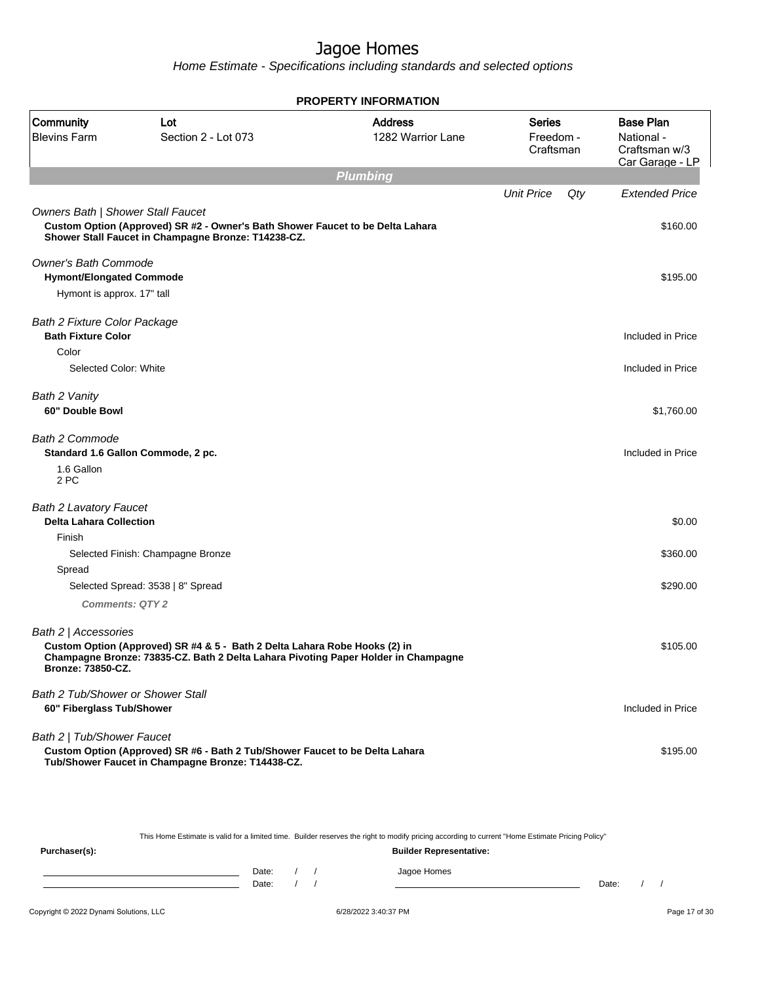Home Estimate - Specifications including standards and selected options

| <b>PROPERTY INFORMATION</b>                                                                                                           |                     |                                                                                    |                                         |     |                                                                    |  |  |
|---------------------------------------------------------------------------------------------------------------------------------------|---------------------|------------------------------------------------------------------------------------|-----------------------------------------|-----|--------------------------------------------------------------------|--|--|
| <b>Community</b><br>Lot<br><b>Blevins Farm</b>                                                                                        | Section 2 - Lot 073 | <b>Address</b><br>1282 Warrior Lane                                                | <b>Series</b><br>Freedom -<br>Craftsman |     | <b>Base Plan</b><br>National -<br>Craftsman w/3<br>Car Garage - LP |  |  |
|                                                                                                                                       |                     | <b>Plumbing</b>                                                                    |                                         |     |                                                                    |  |  |
|                                                                                                                                       |                     |                                                                                    | <b>Unit Price</b>                       | Qty | <b>Extended Price</b>                                              |  |  |
| Owners Bath   Shower Stall Faucet                                                                                                     |                     |                                                                                    |                                         |     |                                                                    |  |  |
| Custom Option (Approved) SR #2 - Owner's Bath Shower Faucet to be Delta Lahara<br>Shower Stall Faucet in Champagne Bronze: T14238-CZ. |                     |                                                                                    |                                         |     | \$160.00                                                           |  |  |
| <b>Owner's Bath Commode</b>                                                                                                           |                     |                                                                                    |                                         |     |                                                                    |  |  |
| <b>Hymont/Elongated Commode</b>                                                                                                       |                     |                                                                                    |                                         |     | \$195.00                                                           |  |  |
| Hymont is approx. 17" tall                                                                                                            |                     |                                                                                    |                                         |     |                                                                    |  |  |
| <b>Bath 2 Fixture Color Package</b>                                                                                                   |                     |                                                                                    |                                         |     |                                                                    |  |  |
| <b>Bath Fixture Color</b>                                                                                                             |                     |                                                                                    |                                         |     | Included in Price                                                  |  |  |
| Color                                                                                                                                 |                     |                                                                                    |                                         |     |                                                                    |  |  |
| Selected Color: White                                                                                                                 |                     |                                                                                    |                                         |     | Included in Price                                                  |  |  |
| Bath 2 Vanity                                                                                                                         |                     |                                                                                    |                                         |     |                                                                    |  |  |
| 60" Double Bowl                                                                                                                       |                     |                                                                                    |                                         |     | \$1,760.00                                                         |  |  |
| <b>Bath 2 Commode</b>                                                                                                                 |                     |                                                                                    |                                         |     |                                                                    |  |  |
| Standard 1.6 Gallon Commode, 2 pc.                                                                                                    |                     |                                                                                    |                                         |     | Included in Price                                                  |  |  |
| 1.6 Gallon<br>2 PC                                                                                                                    |                     |                                                                                    |                                         |     |                                                                    |  |  |
| <b>Bath 2 Lavatory Faucet</b>                                                                                                         |                     |                                                                                    |                                         |     |                                                                    |  |  |
| <b>Delta Lahara Collection</b>                                                                                                        |                     |                                                                                    |                                         |     | \$0.00                                                             |  |  |
| Finish                                                                                                                                |                     |                                                                                    |                                         |     |                                                                    |  |  |
| Selected Finish: Champagne Bronze                                                                                                     |                     |                                                                                    |                                         |     | \$360.00                                                           |  |  |
| Spread                                                                                                                                |                     |                                                                                    |                                         |     |                                                                    |  |  |
| Selected Spread: 3538   8" Spread                                                                                                     |                     |                                                                                    |                                         |     | \$290.00                                                           |  |  |
| <b>Comments: QTY 2</b>                                                                                                                |                     |                                                                                    |                                         |     |                                                                    |  |  |
| Bath 2   Accessories<br>Custom Option (Approved) SR #4 & 5 - Bath 2 Delta Lahara Robe Hooks (2) in<br><b>Bronze: 73850-CZ.</b>        |                     | Champagne Bronze: 73835-CZ. Bath 2 Delta Lahara Pivoting Paper Holder in Champagne |                                         |     | \$105.00                                                           |  |  |
| <b>Bath 2 Tub/Shower or Shower Stall</b>                                                                                              |                     |                                                                                    |                                         |     |                                                                    |  |  |
| 60" Fiberglass Tub/Shower                                                                                                             |                     |                                                                                    |                                         |     | Included in Price                                                  |  |  |
| Bath 2   Tub/Shower Faucet                                                                                                            |                     |                                                                                    |                                         |     |                                                                    |  |  |
| Custom Option (Approved) SR #6 - Bath 2 Tub/Shower Faucet to be Delta Lahara<br>Tub/Shower Faucet in Champagne Bronze: T14438-CZ.     |                     |                                                                                    |                                         |     | \$195.00                                                           |  |  |
|                                                                                                                                       |                     |                                                                                    |                                         |     |                                                                    |  |  |

This Home Estimate is valid for a limited time. Builder reserves the right to modify pricing according to current "Home Estimate Pricing Policy"

| Purchaser(s): |                |  | <b>Builder Representative:</b> |       |  |
|---------------|----------------|--|--------------------------------|-------|--|
|               | Date:<br>Date: |  | Jagoe Homes                    | Date: |  |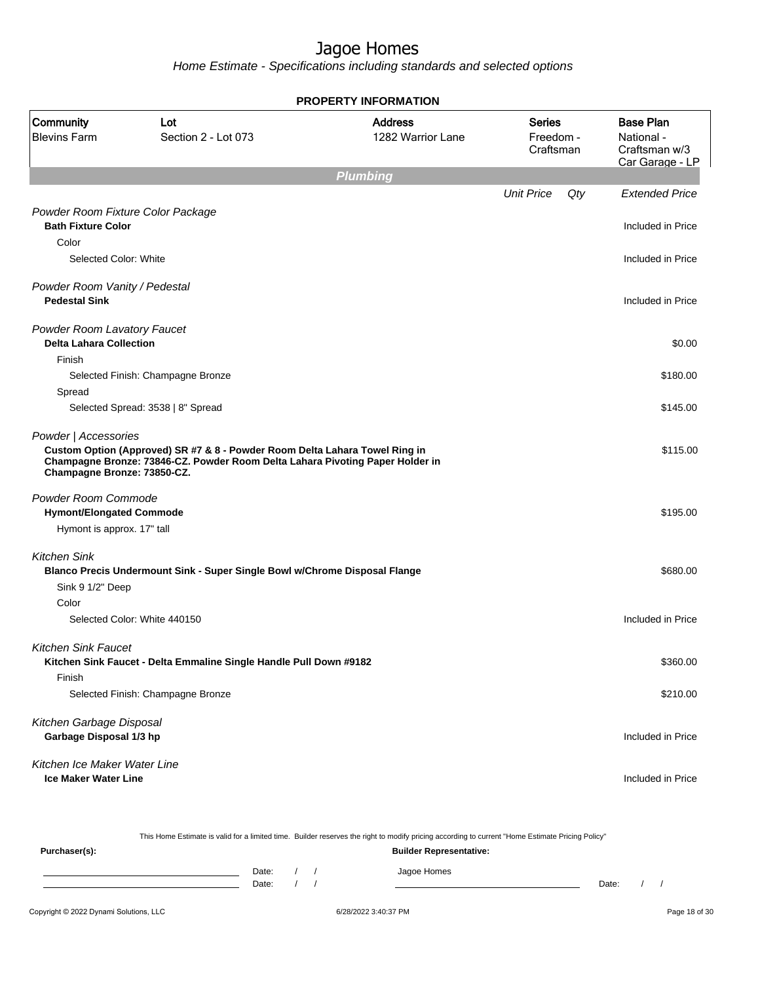| <b>PROPERTY INFORMATION</b>                           |                                                                                                                                                              |                                     |                                         |     |                                                                    |
|-------------------------------------------------------|--------------------------------------------------------------------------------------------------------------------------------------------------------------|-------------------------------------|-----------------------------------------|-----|--------------------------------------------------------------------|
| Community<br><b>Blevins Farm</b>                      | Lot<br>Section 2 - Lot 073                                                                                                                                   | <b>Address</b><br>1282 Warrior Lane | <b>Series</b><br>Freedom -<br>Craftsman |     | <b>Base Plan</b><br>National -<br>Craftsman w/3<br>Car Garage - LP |
|                                                       |                                                                                                                                                              | <b>Plumbing</b>                     |                                         |     |                                                                    |
|                                                       |                                                                                                                                                              |                                     | <b>Unit Price</b>                       | Qty | <b>Extended Price</b>                                              |
| Powder Room Fixture Color Package                     |                                                                                                                                                              |                                     |                                         |     |                                                                    |
| <b>Bath Fixture Color</b><br>Color                    |                                                                                                                                                              |                                     |                                         |     | Included in Price                                                  |
| Selected Color: White                                 |                                                                                                                                                              |                                     |                                         |     | Included in Price                                                  |
|                                                       |                                                                                                                                                              |                                     |                                         |     |                                                                    |
| Powder Room Vanity / Pedestal<br><b>Pedestal Sink</b> |                                                                                                                                                              |                                     |                                         |     | Included in Price                                                  |
|                                                       |                                                                                                                                                              |                                     |                                         |     |                                                                    |
| Powder Room Lavatory Faucet                           |                                                                                                                                                              |                                     |                                         |     |                                                                    |
| <b>Delta Lahara Collection</b>                        |                                                                                                                                                              |                                     |                                         |     | \$0.00                                                             |
| Finish                                                |                                                                                                                                                              |                                     |                                         |     |                                                                    |
| Spread                                                | Selected Finish: Champagne Bronze                                                                                                                            |                                     |                                         |     | \$180.00                                                           |
|                                                       | Selected Spread: 3538   8" Spread                                                                                                                            |                                     |                                         |     | \$145.00                                                           |
|                                                       |                                                                                                                                                              |                                     |                                         |     |                                                                    |
| Powder   Accessories<br>Champagne Bronze: 73850-CZ.   | Custom Option (Approved) SR #7 & 8 - Powder Room Delta Lahara Towel Ring in<br>Champagne Bronze: 73846-CZ. Powder Room Delta Lahara Pivoting Paper Holder in |                                     |                                         |     | \$115.00                                                           |
| Powder Room Commode                                   |                                                                                                                                                              |                                     |                                         |     |                                                                    |
| <b>Hymont/Elongated Commode</b>                       |                                                                                                                                                              |                                     |                                         |     | \$195.00                                                           |
| Hymont is approx. 17" tall                            |                                                                                                                                                              |                                     |                                         |     |                                                                    |
| <b>Kitchen Sink</b>                                   |                                                                                                                                                              |                                     |                                         |     |                                                                    |
|                                                       | Blanco Precis Undermount Sink - Super Single Bowl w/Chrome Disposal Flange                                                                                   |                                     |                                         |     | \$680.00                                                           |
| Sink 9 1/2" Deep                                      |                                                                                                                                                              |                                     |                                         |     |                                                                    |
| Color                                                 |                                                                                                                                                              |                                     |                                         |     |                                                                    |
|                                                       | Selected Color: White 440150                                                                                                                                 |                                     |                                         |     | Included in Price                                                  |
| Kitchen Sink Faucet                                   | Kitchen Sink Faucet - Delta Emmaline Single Handle Pull Down #9182                                                                                           |                                     |                                         |     | \$360.00                                                           |
| Finish                                                |                                                                                                                                                              |                                     |                                         |     |                                                                    |
|                                                       | Selected Finish: Champagne Bronze                                                                                                                            |                                     |                                         |     | \$210.00                                                           |
|                                                       |                                                                                                                                                              |                                     |                                         |     |                                                                    |
| Kitchen Garbage Disposal                              |                                                                                                                                                              |                                     |                                         |     |                                                                    |
| Garbage Disposal 1/3 hp                               |                                                                                                                                                              |                                     |                                         |     | Included in Price                                                  |
| Kitchen Ice Maker Water Line                          |                                                                                                                                                              |                                     |                                         |     |                                                                    |
| <b>Ice Maker Water Line</b>                           |                                                                                                                                                              |                                     |                                         |     | Included in Price                                                  |
|                                                       |                                                                                                                                                              |                                     |                                         |     |                                                                    |

|               |       |  | This Home Estimate is valid for a limited time. Builder reserves the right to modify pricing according to current "Home Estimate Pricing Policy" |       |  |
|---------------|-------|--|--------------------------------------------------------------------------------------------------------------------------------------------------|-------|--|
| Purchaser(s): |       |  | <b>Builder Representative:</b>                                                                                                                   |       |  |
|               | Date: |  | Jagoe Homes                                                                                                                                      |       |  |
|               | Date: |  |                                                                                                                                                  | Date: |  |
|               |       |  |                                                                                                                                                  |       |  |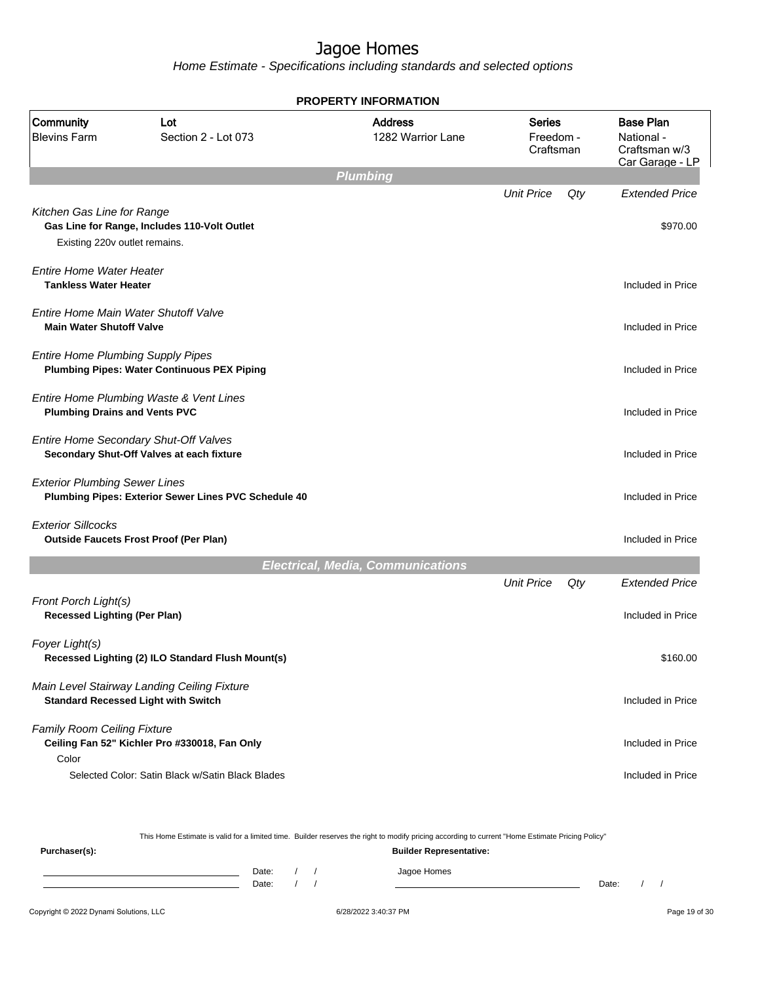Home Estimate - Specifications including standards and selected options

| <b>PROPERTY INFORMATION</b>                                     |                                                                                           |                                          |                                         |     |                                                                    |  |  |
|-----------------------------------------------------------------|-------------------------------------------------------------------------------------------|------------------------------------------|-----------------------------------------|-----|--------------------------------------------------------------------|--|--|
| Community<br><b>Blevins Farm</b>                                | Lot<br>Section 2 - Lot 073                                                                | <b>Address</b><br>1282 Warrior Lane      | <b>Series</b><br>Freedom -<br>Craftsman |     | <b>Base Plan</b><br>National -<br>Craftsman w/3<br>Car Garage - LP |  |  |
|                                                                 |                                                                                           | <b>Plumbing</b>                          |                                         |     |                                                                    |  |  |
| Kitchen Gas Line for Range<br>Existing 220v outlet remains.     | Gas Line for Range, Includes 110-Volt Outlet                                              |                                          | <b>Unit Price</b>                       | Qty | <b>Extended Price</b><br>\$970.00                                  |  |  |
| <b>Entire Home Water Heater</b><br><b>Tankless Water Heater</b> |                                                                                           |                                          |                                         |     | Included in Price                                                  |  |  |
| <b>Main Water Shutoff Valve</b>                                 | Entire Home Main Water Shutoff Valve                                                      |                                          |                                         |     | Included in Price                                                  |  |  |
| <b>Entire Home Plumbing Supply Pipes</b>                        | <b>Plumbing Pipes: Water Continuous PEX Piping</b>                                        |                                          |                                         |     | Included in Price                                                  |  |  |
| <b>Plumbing Drains and Vents PVC</b>                            | Entire Home Plumbing Waste & Vent Lines                                                   |                                          |                                         |     | Included in Price                                                  |  |  |
|                                                                 | Entire Home Secondary Shut-Off Valves<br>Secondary Shut-Off Valves at each fixture        |                                          |                                         |     | Included in Price                                                  |  |  |
| <b>Exterior Plumbing Sewer Lines</b>                            | Plumbing Pipes: Exterior Sewer Lines PVC Schedule 40                                      |                                          |                                         |     | Included in Price                                                  |  |  |
| <b>Exterior Sillcocks</b>                                       | <b>Outside Faucets Frost Proof (Per Plan)</b>                                             |                                          |                                         |     | Included in Price                                                  |  |  |
|                                                                 |                                                                                           | <b>Electrical, Media, Communications</b> |                                         |     |                                                                    |  |  |
| Front Porch Light(s)<br><b>Recessed Lighting (Per Plan)</b>     |                                                                                           |                                          | <b>Unit Price</b>                       | Qty | <b>Extended Price</b><br>Included in Price                         |  |  |
| Foyer Light(s)                                                  | Recessed Lighting (2) ILO Standard Flush Mount(s)                                         |                                          |                                         |     | \$160.00                                                           |  |  |
|                                                                 | Main Level Stairway Landing Ceiling Fixture<br><b>Standard Recessed Light with Switch</b> |                                          |                                         |     | Included in Price                                                  |  |  |
| <b>Family Room Ceiling Fixture</b><br>Color                     | Ceiling Fan 52" Kichler Pro #330018, Fan Only                                             |                                          |                                         |     | Included in Price                                                  |  |  |
|                                                                 | Selected Color: Satin Black w/Satin Black Blades                                          |                                          |                                         |     | Included in Price                                                  |  |  |

This Home Estimate is valid for a limited time. Builder reserves the right to modify pricing according to current "Home Estimate Pricing Policy"

| Purchaser(s): |                |  | <b>Builder Representative:</b> |       |  |
|---------------|----------------|--|--------------------------------|-------|--|
|               | Date:<br>Date: |  | Jagoe Homes                    | Date: |  |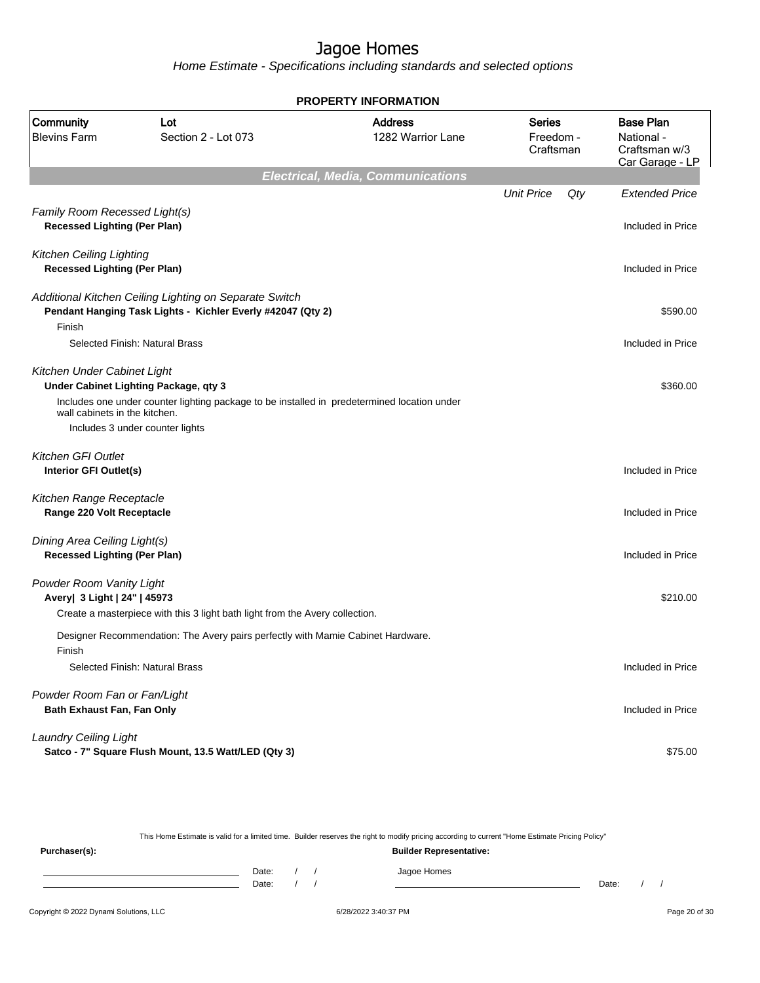Home Estimate - Specifications including standards and selected options

| <b>PROPERTY INFORMATION</b>                                          |                                                                                                                                      |                                          |                                         |     |                                                                    |  |
|----------------------------------------------------------------------|--------------------------------------------------------------------------------------------------------------------------------------|------------------------------------------|-----------------------------------------|-----|--------------------------------------------------------------------|--|
| Community<br><b>Blevins Farm</b>                                     | Lot<br>Section 2 - Lot 073                                                                                                           | <b>Address</b><br>1282 Warrior Lane      | <b>Series</b><br>Freedom -<br>Craftsman |     | <b>Base Plan</b><br>National -<br>Craftsman w/3<br>Car Garage - LP |  |
|                                                                      |                                                                                                                                      | <b>Electrical, Media, Communications</b> |                                         |     |                                                                    |  |
| Family Room Recessed Light(s)<br><b>Recessed Lighting (Per Plan)</b> |                                                                                                                                      |                                          | <b>Unit Price</b>                       | Qty | <b>Extended Price</b><br>Included in Price                         |  |
| Kitchen Ceiling Lighting<br><b>Recessed Lighting (Per Plan)</b>      |                                                                                                                                      |                                          |                                         |     | Included in Price                                                  |  |
| Finish                                                               | Additional Kitchen Ceiling Lighting on Separate Switch<br>Pendant Hanging Task Lights - Kichler Everly #42047 (Qty 2)                |                                          |                                         |     | \$590.00                                                           |  |
|                                                                      | Selected Finish: Natural Brass                                                                                                       |                                          |                                         |     | Included in Price                                                  |  |
| Kitchen Under Cabinet Light                                          | Under Cabinet Lighting Package, qty 3<br>Includes one under counter lighting package to be installed in predetermined location under |                                          |                                         |     | \$360.00                                                           |  |
| wall cabinets in the kitchen.                                        | Includes 3 under counter lights                                                                                                      |                                          |                                         |     |                                                                    |  |
| <b>Kitchen GFI Outlet</b><br>Interior GFI Outlet(s)                  |                                                                                                                                      |                                          |                                         |     | Included in Price                                                  |  |
| Kitchen Range Receptacle<br>Range 220 Volt Receptacle                |                                                                                                                                      |                                          |                                         |     | Included in Price                                                  |  |
| Dining Area Ceiling Light(s)<br><b>Recessed Lighting (Per Plan)</b>  |                                                                                                                                      |                                          |                                         |     | Included in Price                                                  |  |
| Powder Room Vanity Light<br>Avery  3 Light   24"   45973             | Create a masterpiece with this 3 light bath light from the Avery collection.                                                         |                                          |                                         |     | \$210.00                                                           |  |
|                                                                      | Designer Recommendation: The Avery pairs perfectly with Mamie Cabinet Hardware.                                                      |                                          |                                         |     |                                                                    |  |
| Finish                                                               | Selected Finish: Natural Brass                                                                                                       |                                          |                                         |     | Included in Price                                                  |  |
| Powder Room Fan or Fan/Light<br>Bath Exhaust Fan, Fan Only           |                                                                                                                                      |                                          |                                         |     | Included in Price                                                  |  |
| <b>Laundry Ceiling Light</b>                                         | Satco - 7" Square Flush Mount, 13.5 Watt/LED (Qty 3)                                                                                 |                                          |                                         |     | \$75.00                                                            |  |

This Home Estimate is valid for a limited time. Builder reserves the right to modify pricing according to current "Home Estimate Pricing Policy" **Purchaser(s): Builder Representative:** Date: / / Jagoe Homes<br>Date: / / Jagoe Homes Date: / / **Date: / / 2006** Date: / / / Date: / / /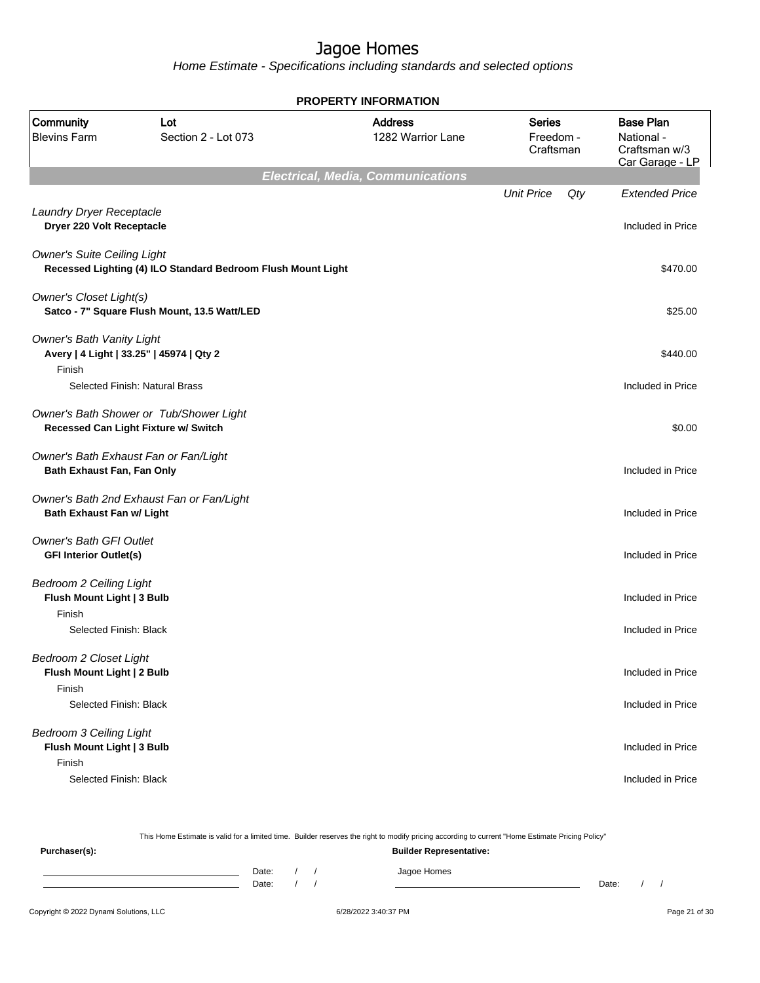Home Estimate - Specifications including standards and selected options

|                                                                        | <b>PROPERTY INFORMATION</b>                                                     |                                          |                                         |                                                                    |  |  |  |
|------------------------------------------------------------------------|---------------------------------------------------------------------------------|------------------------------------------|-----------------------------------------|--------------------------------------------------------------------|--|--|--|
| Community<br><b>Blevins Farm</b>                                       | Lot<br>Section 2 - Lot 073                                                      | <b>Address</b><br>1282 Warrior Lane      | <b>Series</b><br>Freedom -<br>Craftsman | <b>Base Plan</b><br>National -<br>Craftsman w/3<br>Car Garage - LP |  |  |  |
|                                                                        |                                                                                 | <b>Electrical, Media, Communications</b> |                                         |                                                                    |  |  |  |
|                                                                        |                                                                                 |                                          | <b>Unit Price</b><br>Qty                | <b>Extended Price</b>                                              |  |  |  |
| Laundry Dryer Receptacle<br>Dryer 220 Volt Receptacle                  |                                                                                 |                                          |                                         | Included in Price                                                  |  |  |  |
| <b>Owner's Suite Ceiling Light</b>                                     | Recessed Lighting (4) ILO Standard Bedroom Flush Mount Light                    |                                          |                                         | \$470.00                                                           |  |  |  |
| Owner's Closet Light(s)                                                | Satco - 7" Square Flush Mount, 13.5 Watt/LED                                    |                                          |                                         | \$25.00                                                            |  |  |  |
| <b>Owner's Bath Vanity Light</b>                                       | Avery   4 Light   33.25"   45974   Qty 2                                        |                                          |                                         | \$440.00                                                           |  |  |  |
| Finish                                                                 | Selected Finish: Natural Brass                                                  |                                          |                                         | Included in Price                                                  |  |  |  |
|                                                                        | Owner's Bath Shower or Tub/Shower Light<br>Recessed Can Light Fixture w/ Switch |                                          |                                         | \$0.00                                                             |  |  |  |
| Bath Exhaust Fan, Fan Only                                             | Owner's Bath Exhaust Fan or Fan/Light                                           |                                          |                                         | Included in Price                                                  |  |  |  |
| <b>Bath Exhaust Fan w/ Light</b>                                       | Owner's Bath 2nd Exhaust Fan or Fan/Light                                       |                                          |                                         | Included in Price                                                  |  |  |  |
| <b>Owner's Bath GFI Outlet</b><br><b>GFI Interior Outlet(s)</b>        |                                                                                 |                                          |                                         | Included in Price                                                  |  |  |  |
| <b>Bedroom 2 Ceiling Light</b><br>Flush Mount Light   3 Bulb           |                                                                                 |                                          |                                         | Included in Price                                                  |  |  |  |
| Finish<br>Selected Finish: Black                                       |                                                                                 |                                          |                                         | Included in Price                                                  |  |  |  |
| Bedroom 2 Closet Light<br>Flush Mount Light   2 Bulb<br>Finish         |                                                                                 |                                          |                                         | Included in Price                                                  |  |  |  |
| Selected Finish: Black                                                 |                                                                                 |                                          |                                         | Included in Price                                                  |  |  |  |
| <b>Bedroom 3 Ceiling Light</b><br>Flush Mount Light   3 Bulb<br>Finish |                                                                                 |                                          |                                         | Included in Price                                                  |  |  |  |
| Selected Finish: Black                                                 |                                                                                 |                                          |                                         | Included in Price                                                  |  |  |  |

Copyright © 2022 Dynami Solutions, LLC <br>
6/28/2022 3:40:37 PM Page 21 of 30 This Home Estimate is valid for a limited time. Builder reserves the right to modify pricing according to current "Home Estimate Pricing Policy" **Purchaser(s): Builder Representative:** Date: / / Jagoe Homes<br>Date: / / Jagoe Homes Date: / / Date: / /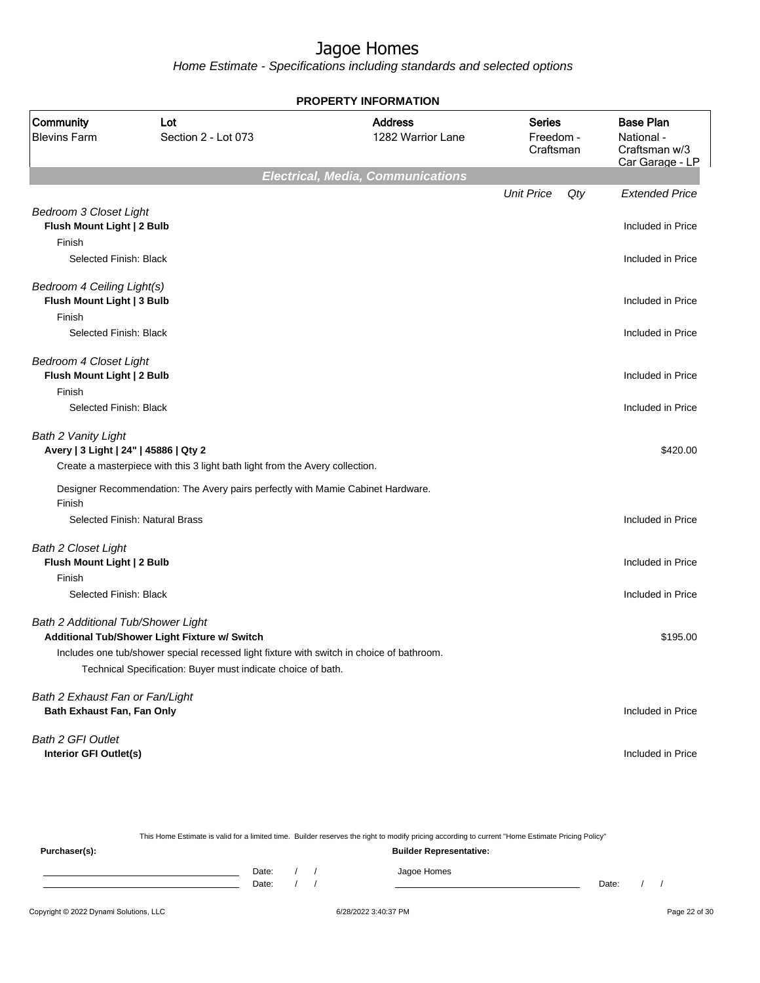| <b>PROPERTY INFORMATION</b>                                    |                                                                                           |                                          |                                         |     |                                                                    |
|----------------------------------------------------------------|-------------------------------------------------------------------------------------------|------------------------------------------|-----------------------------------------|-----|--------------------------------------------------------------------|
| <b>Community</b><br><b>Blevins Farm</b>                        | Lot<br>Section 2 - Lot 073                                                                | <b>Address</b><br>1282 Warrior Lane      | <b>Series</b><br>Freedom -<br>Craftsman |     | <b>Base Plan</b><br>National -<br>Craftsman w/3<br>Car Garage - LP |
|                                                                |                                                                                           | <b>Electrical, Media, Communications</b> |                                         |     |                                                                    |
| <b>Bedroom 3 Closet Light</b>                                  |                                                                                           |                                          | <b>Unit Price</b>                       | Qty | <b>Extended Price</b>                                              |
| Flush Mount Light   2 Bulb                                     |                                                                                           |                                          |                                         |     | Included in Price                                                  |
| Finish                                                         |                                                                                           |                                          |                                         |     | Included in Price                                                  |
| Selected Finish: Black                                         |                                                                                           |                                          |                                         |     |                                                                    |
| Bedroom 4 Ceiling Light(s)<br>Flush Mount Light   3 Bulb       |                                                                                           |                                          |                                         |     | Included in Price                                                  |
| Finish<br>Selected Finish: Black                               |                                                                                           |                                          |                                         |     |                                                                    |
|                                                                |                                                                                           |                                          |                                         |     | Included in Price                                                  |
| Bedroom 4 Closet Light<br>Flush Mount Light   2 Bulb<br>Finish |                                                                                           |                                          |                                         |     | Included in Price                                                  |
| Selected Finish: Black                                         |                                                                                           |                                          |                                         |     | Included in Price                                                  |
| Bath 2 Vanity Light<br>Avery   3 Light   24"   45886   Qty 2   | Create a masterpiece with this 3 light bath light from the Avery collection.              |                                          |                                         |     | \$420.00                                                           |
|                                                                | Designer Recommendation: The Avery pairs perfectly with Mamie Cabinet Hardware.           |                                          |                                         |     |                                                                    |
| Finish                                                         | Selected Finish: Natural Brass                                                            |                                          |                                         |     | Included in Price                                                  |
| <b>Bath 2 Closet Light</b><br>Flush Mount Light   2 Bulb       |                                                                                           |                                          |                                         |     | Included in Price                                                  |
| Finish                                                         |                                                                                           |                                          |                                         |     |                                                                    |
| Selected Finish: Black                                         |                                                                                           |                                          |                                         |     | Included in Price                                                  |
| Bath 2 Additional Tub/Shower Light                             | Additional Tub/Shower Light Fixture w/ Switch                                             |                                          |                                         |     | \$195.00                                                           |
|                                                                | Includes one tub/shower special recessed light fixture with switch in choice of bathroom. |                                          |                                         |     |                                                                    |
|                                                                | Technical Specification: Buyer must indicate choice of bath.                              |                                          |                                         |     |                                                                    |
| Bath 2 Exhaust Fan or Fan/Light                                |                                                                                           |                                          |                                         |     | Included in Price                                                  |
| Bath Exhaust Fan, Fan Only                                     |                                                                                           |                                          |                                         |     |                                                                    |
| Bath 2 GFI Outlet                                              |                                                                                           |                                          |                                         |     |                                                                    |
| <b>Interior GFI Outlet(s)</b>                                  |                                                                                           |                                          |                                         |     | Included in Price                                                  |

|                                                 |  |       |  |  | This Home Estimate is valid for a limited time. Builder reserves the right to modify pricing according to current "Home Estimate Pricing Policy" |       |  |
|-------------------------------------------------|--|-------|--|--|--------------------------------------------------------------------------------------------------------------------------------------------------|-------|--|
| <b>Builder Representative:</b><br>Purchaser(s): |  |       |  |  |                                                                                                                                                  |       |  |
|                                                 |  | Date: |  |  | Jagoe Homes                                                                                                                                      |       |  |
|                                                 |  | Date: |  |  |                                                                                                                                                  | Date: |  |
|                                                 |  |       |  |  |                                                                                                                                                  |       |  |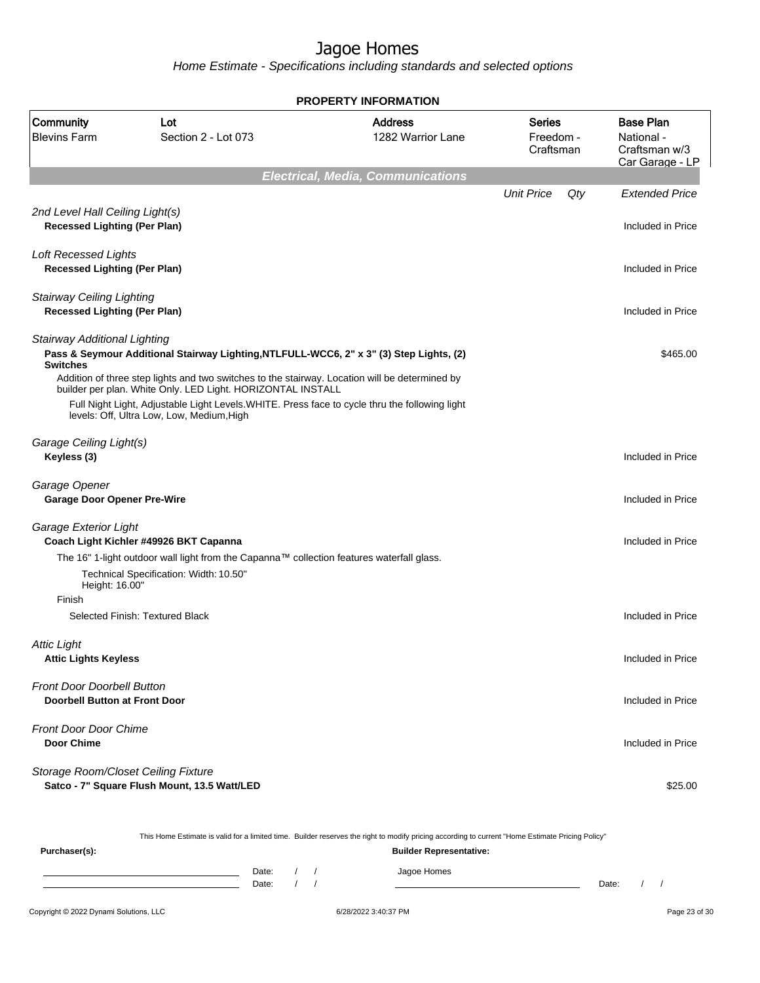Home Estimate - Specifications including standards and selected options

|                                                                         |                                                                                                                                                                                                                                                                                                                                                                                                        | <b>PROPERTY INFORMATION</b>              |                                         |     |                                                                    |
|-------------------------------------------------------------------------|--------------------------------------------------------------------------------------------------------------------------------------------------------------------------------------------------------------------------------------------------------------------------------------------------------------------------------------------------------------------------------------------------------|------------------------------------------|-----------------------------------------|-----|--------------------------------------------------------------------|
| Community<br><b>Blevins Farm</b>                                        | Lot<br>Section 2 - Lot 073                                                                                                                                                                                                                                                                                                                                                                             | <b>Address</b><br>1282 Warrior Lane      | <b>Series</b><br>Freedom -<br>Craftsman |     | <b>Base Plan</b><br>National -<br>Craftsman w/3<br>Car Garage - LP |
|                                                                         |                                                                                                                                                                                                                                                                                                                                                                                                        | <b>Electrical, Media, Communications</b> |                                         |     |                                                                    |
|                                                                         |                                                                                                                                                                                                                                                                                                                                                                                                        |                                          | <b>Unit Price</b>                       | Qty | <b>Extended Price</b>                                              |
| 2nd Level Hall Ceiling Light(s)<br><b>Recessed Lighting (Per Plan)</b>  |                                                                                                                                                                                                                                                                                                                                                                                                        |                                          |                                         |     | Included in Price                                                  |
| <b>Loft Recessed Lights</b><br><b>Recessed Lighting (Per Plan)</b>      |                                                                                                                                                                                                                                                                                                                                                                                                        |                                          |                                         |     | Included in Price                                                  |
| <b>Stairway Ceiling Lighting</b><br><b>Recessed Lighting (Per Plan)</b> |                                                                                                                                                                                                                                                                                                                                                                                                        |                                          |                                         |     | Included in Price                                                  |
| <b>Stairway Additional Lighting</b><br><b>Switches</b>                  | Pass & Seymour Additional Stairway Lighting, NTLFULL-WCC6, 2" x 3" (3) Step Lights, (2)<br>Addition of three step lights and two switches to the stairway. Location will be determined by<br>builder per plan. White Only. LED Light. HORIZONTAL INSTALL<br>Full Night Light, Adjustable Light Levels.WHITE. Press face to cycle thru the following light<br>levels: Off, Ultra Low, Low, Medium, High |                                          |                                         |     | \$465.00                                                           |
| Garage Ceiling Light(s)<br>Keyless (3)                                  |                                                                                                                                                                                                                                                                                                                                                                                                        |                                          |                                         |     | Included in Price                                                  |
| Garage Opener<br><b>Garage Door Opener Pre-Wire</b>                     |                                                                                                                                                                                                                                                                                                                                                                                                        |                                          |                                         |     | Included in Price                                                  |
| Garage Exterior Light<br>Height: 16.00"                                 | Coach Light Kichler #49926 BKT Capanna<br>The 16" 1-light outdoor wall light from the Capanna™ collection features waterfall glass.<br>Technical Specification: Width: 10.50"                                                                                                                                                                                                                          |                                          |                                         |     | Included in Price                                                  |
| Finish                                                                  | Selected Finish: Textured Black                                                                                                                                                                                                                                                                                                                                                                        |                                          |                                         |     | Included in Price                                                  |
| <b>Attic Light</b><br><b>Attic Lights Keyless</b>                       |                                                                                                                                                                                                                                                                                                                                                                                                        |                                          |                                         |     | Included in Price                                                  |
| Front Door Doorbell Button<br><b>Doorbell Button at Front Door</b>      |                                                                                                                                                                                                                                                                                                                                                                                                        |                                          |                                         |     | Included in Price                                                  |
| <b>Front Door Door Chime</b><br>Door Chime                              |                                                                                                                                                                                                                                                                                                                                                                                                        |                                          |                                         |     | Included in Price                                                  |
| Storage Room/Closet Ceiling Fixture                                     | Satco - 7" Square Flush Mount, 13.5 Watt/LED                                                                                                                                                                                                                                                                                                                                                           |                                          |                                         |     | \$25.00                                                            |

This Home Estimate is valid for a limited time. Builder reserves the right to modify pricing according to current "Home Estimate Pricing Policy"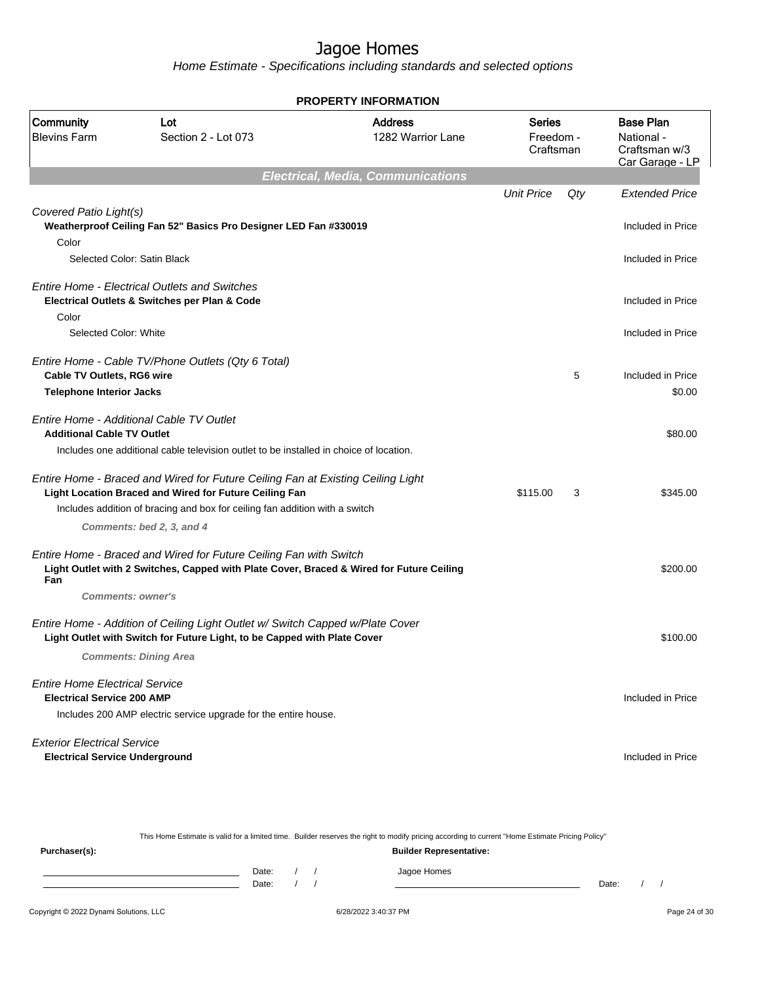**PROPERTY INFORMATION**

Home Estimate - Specifications including standards and selected options

| Community<br><b>Blevins Farm</b>                                            | Lot<br>Section 2 - Lot 073                                                                                                                                                                                                                            | <b>Address</b><br>1282 Warrior Lane      | <b>Series</b><br>Freedom -<br>Craftsman |     | <b>Base Plan</b><br>National -<br>Craftsman w/3<br>Car Garage - LP |
|-----------------------------------------------------------------------------|-------------------------------------------------------------------------------------------------------------------------------------------------------------------------------------------------------------------------------------------------------|------------------------------------------|-----------------------------------------|-----|--------------------------------------------------------------------|
|                                                                             |                                                                                                                                                                                                                                                       | <b>Electrical, Media, Communications</b> |                                         |     |                                                                    |
|                                                                             |                                                                                                                                                                                                                                                       |                                          | <b>Unit Price</b>                       | Qty | <b>Extended Price</b>                                              |
| Covered Patio Light(s)<br>Color                                             | Weatherproof Ceiling Fan 52" Basics Pro Designer LED Fan #330019                                                                                                                                                                                      |                                          |                                         |     | Included in Price                                                  |
|                                                                             | Selected Color: Satin Black                                                                                                                                                                                                                           |                                          |                                         |     | Included in Price                                                  |
| Color                                                                       | <b>Entire Home - Electrical Outlets and Switches</b><br>Electrical Outlets & Switches per Plan & Code                                                                                                                                                 |                                          |                                         |     | Included in Price                                                  |
| Selected Color: White                                                       |                                                                                                                                                                                                                                                       |                                          |                                         |     | Included in Price                                                  |
| <b>Cable TV Outlets, RG6 wire</b><br><b>Telephone Interior Jacks</b>        | Entire Home - Cable TV/Phone Outlets (Qty 6 Total)                                                                                                                                                                                                    |                                          |                                         | 5   | Included in Price<br>\$0.00                                        |
| <b>Additional Cable TV Outlet</b>                                           | Entire Home - Additional Cable TV Outlet<br>Includes one additional cable television outlet to be installed in choice of location.                                                                                                                    |                                          |                                         |     | \$80.00                                                            |
|                                                                             | Entire Home - Braced and Wired for Future Ceiling Fan at Existing Ceiling Light<br>Light Location Braced and Wired for Future Ceiling Fan<br>Includes addition of bracing and box for ceiling fan addition with a switch<br>Comments: bed 2, 3, and 4 |                                          | \$115.00                                | 3   | \$345.00                                                           |
| Fan                                                                         | Entire Home - Braced and Wired for Future Ceiling Fan with Switch<br>Light Outlet with 2 Switches, Capped with Plate Cover, Braced & Wired for Future Ceiling<br><b>Comments: owner's</b>                                                             |                                          |                                         |     | \$200.00                                                           |
|                                                                             | Entire Home - Addition of Ceiling Light Outlet w/ Switch Capped w/Plate Cover<br>Light Outlet with Switch for Future Light, to be Capped with Plate Cover<br><b>Comments: Dining Area</b>                                                             |                                          |                                         |     | \$100.00                                                           |
| <b>Entire Home Electrical Service</b><br><b>Electrical Service 200 AMP</b>  | Includes 200 AMP electric service upgrade for the entire house.                                                                                                                                                                                       |                                          |                                         |     | Included in Price                                                  |
| <b>Exterior Electrical Service</b><br><b>Electrical Service Underground</b> |                                                                                                                                                                                                                                                       |                                          |                                         |     | Included in Price                                                  |

This Home Estimate is valid for a limited time. Builder reserves the right to modify pricing according to current "Home Estimate Pricing Policy"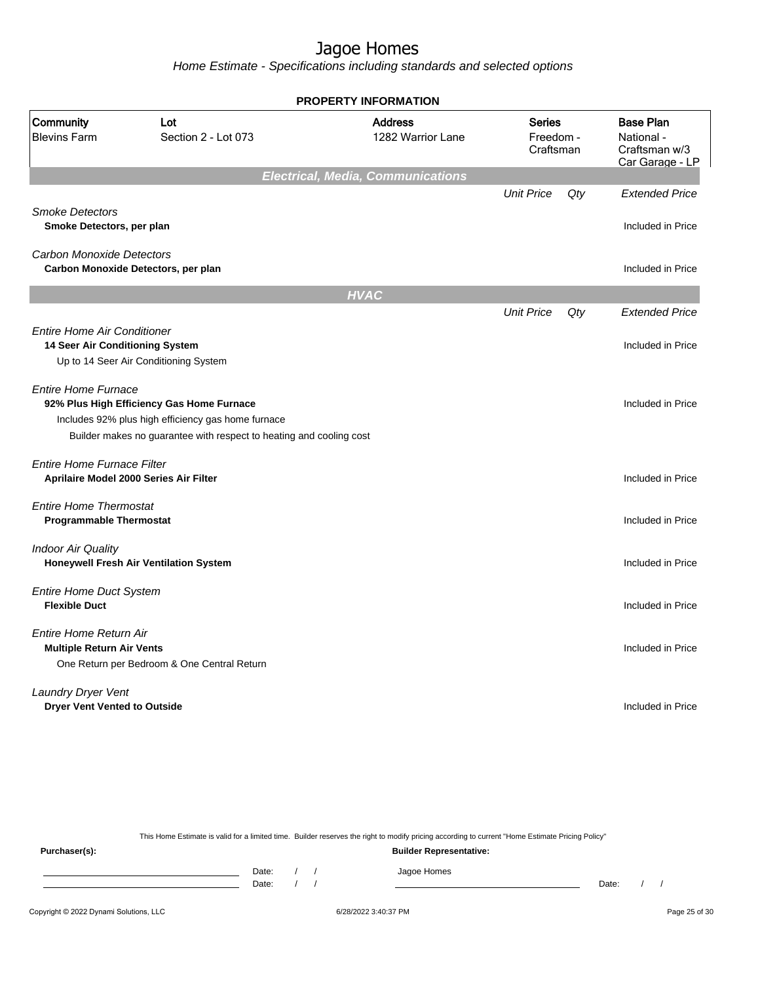Home Estimate - Specifications including standards and selected options

|                                                                             | <b>PROPERTY INFORMATION</b>                                                                                                                                            |                                          |                                         |     |                                                                    |  |  |
|-----------------------------------------------------------------------------|------------------------------------------------------------------------------------------------------------------------------------------------------------------------|------------------------------------------|-----------------------------------------|-----|--------------------------------------------------------------------|--|--|
| Community<br><b>Blevins Farm</b>                                            | Lot<br>Section 2 - Lot 073                                                                                                                                             | <b>Address</b><br>1282 Warrior Lane      | <b>Series</b><br>Freedom -<br>Craftsman |     | <b>Base Plan</b><br>National -<br>Craftsman w/3<br>Car Garage - LP |  |  |
|                                                                             |                                                                                                                                                                        | <b>Electrical, Media, Communications</b> |                                         |     |                                                                    |  |  |
| <b>Smoke Detectors</b><br>Smoke Detectors, per plan                         |                                                                                                                                                                        |                                          | <b>Unit Price</b>                       | Qty | <b>Extended Price</b><br>Included in Price                         |  |  |
| <b>Carbon Monoxide Detectors</b>                                            | Carbon Monoxide Detectors, per plan                                                                                                                                    |                                          |                                         |     | Included in Price                                                  |  |  |
|                                                                             |                                                                                                                                                                        | <b>HVAC</b>                              |                                         |     |                                                                    |  |  |
| <b>Entire Home Air Conditioner</b>                                          |                                                                                                                                                                        |                                          | <b>Unit Price</b>                       | Qty | <b>Extended Price</b>                                              |  |  |
| 14 Seer Air Conditioning System                                             | Up to 14 Seer Air Conditioning System                                                                                                                                  |                                          |                                         |     | Included in Price                                                  |  |  |
| <b>Entire Home Furnace</b>                                                  | 92% Plus High Efficiency Gas Home Furnace<br>Includes 92% plus high efficiency gas home furnace<br>Builder makes no guarantee with respect to heating and cooling cost |                                          |                                         |     | Included in Price                                                  |  |  |
| <b>Entire Home Furnace Filter</b><br>Aprilaire Model 2000 Series Air Filter |                                                                                                                                                                        |                                          |                                         |     | Included in Price                                                  |  |  |
| <b>Entire Home Thermostat</b><br><b>Programmable Thermostat</b>             |                                                                                                                                                                        |                                          |                                         |     | Included in Price                                                  |  |  |
| <b>Indoor Air Quality</b>                                                   | <b>Honeywell Fresh Air Ventilation System</b>                                                                                                                          |                                          |                                         |     | Included in Price                                                  |  |  |
| <b>Entire Home Duct System</b><br><b>Flexible Duct</b>                      |                                                                                                                                                                        |                                          |                                         |     | Included in Price                                                  |  |  |
| <b>Entire Home Return Air</b><br><b>Multiple Return Air Vents</b>           | One Return per Bedroom & One Central Return                                                                                                                            |                                          |                                         |     | Included in Price                                                  |  |  |
| Laundry Dryer Vent<br><b>Dryer Vent Vented to Outside</b>                   |                                                                                                                                                                        |                                          |                                         |     | Included in Price                                                  |  |  |

This Home Estimate is valid for a limited time. Builder reserves the right to modify pricing according to current "Home Estimate Pricing Policy"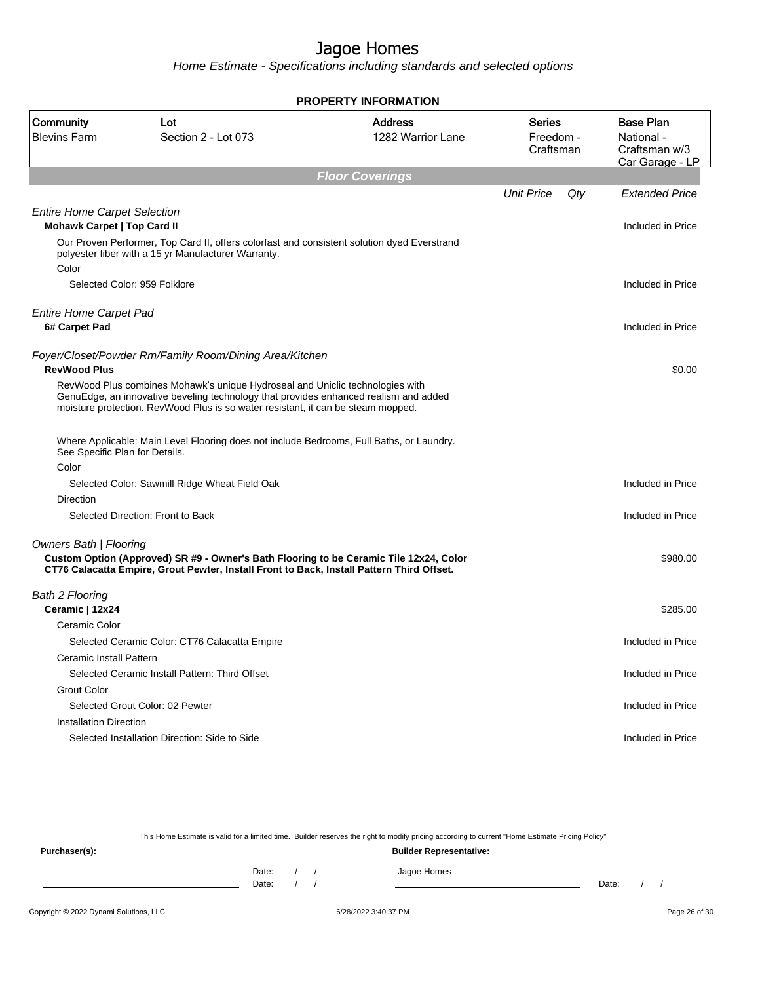Home Estimate - Specifications including standards and selected options

|                                                                           |                                                                                                                                                                                                                                                           | <b>PROPERTY INFORMATION</b>         |                                         |     |                                                                    |
|---------------------------------------------------------------------------|-----------------------------------------------------------------------------------------------------------------------------------------------------------------------------------------------------------------------------------------------------------|-------------------------------------|-----------------------------------------|-----|--------------------------------------------------------------------|
| <b>Community</b><br><b>Blevins Farm</b>                                   | Lot<br>Section 2 - Lot 073                                                                                                                                                                                                                                | <b>Address</b><br>1282 Warrior Lane | <b>Series</b><br>Freedom -<br>Craftsman |     | <b>Base Plan</b><br>National -<br>Craftsman w/3<br>Car Garage - LP |
|                                                                           |                                                                                                                                                                                                                                                           | <b>Floor Coverings</b>              |                                         |     |                                                                    |
|                                                                           |                                                                                                                                                                                                                                                           |                                     | <b>Unit Price</b>                       | Qty | <b>Extended Price</b>                                              |
| <b>Entire Home Carpet Selection</b><br><b>Mohawk Carpet   Top Card II</b> |                                                                                                                                                                                                                                                           |                                     |                                         |     | Included in Price                                                  |
| Color                                                                     | Our Proven Performer, Top Card II, offers colorfast and consistent solution dyed Everstrand<br>polyester fiber with a 15 yr Manufacturer Warranty.                                                                                                        |                                     |                                         |     |                                                                    |
|                                                                           | Selected Color: 959 Folklore                                                                                                                                                                                                                              |                                     |                                         |     | Included in Price                                                  |
| <b>Entire Home Carpet Pad</b><br>6# Carpet Pad                            |                                                                                                                                                                                                                                                           |                                     |                                         |     | Included in Price                                                  |
| <b>RevWood Plus</b>                                                       | Foyer/Closet/Powder Rm/Family Room/Dining Area/Kitchen                                                                                                                                                                                                    |                                     |                                         |     | \$0.00                                                             |
|                                                                           | RevWood Plus combines Mohawk's unique Hydroseal and Uniclic technologies with<br>GenuEdge, an innovative beveling technology that provides enhanced realism and added<br>moisture protection. RevWood Plus is so water resistant, it can be steam mopped. |                                     |                                         |     |                                                                    |
| See Specific Plan for Details.                                            | Where Applicable: Main Level Flooring does not include Bedrooms, Full Baths, or Laundry.                                                                                                                                                                  |                                     |                                         |     |                                                                    |
| Color                                                                     |                                                                                                                                                                                                                                                           |                                     |                                         |     |                                                                    |
|                                                                           | Selected Color: Sawmill Ridge Wheat Field Oak                                                                                                                                                                                                             |                                     |                                         |     | Included in Price                                                  |
| Direction                                                                 |                                                                                                                                                                                                                                                           |                                     |                                         |     |                                                                    |
|                                                                           | Selected Direction: Front to Back                                                                                                                                                                                                                         |                                     |                                         |     | Included in Price                                                  |
| <b>Owners Bath   Flooring</b>                                             | Custom Option (Approved) SR #9 - Owner's Bath Flooring to be Ceramic Tile 12x24, Color<br>CT76 Calacatta Empire, Grout Pewter, Install Front to Back, Install Pattern Third Offset.                                                                       |                                     |                                         |     | \$980.00                                                           |
| <b>Bath 2 Flooring</b>                                                    |                                                                                                                                                                                                                                                           |                                     |                                         |     |                                                                    |
| Ceramic   12x24                                                           |                                                                                                                                                                                                                                                           |                                     |                                         |     | \$285.00                                                           |
| Ceramic Color                                                             |                                                                                                                                                                                                                                                           |                                     |                                         |     |                                                                    |
|                                                                           | Selected Ceramic Color: CT76 Calacatta Empire                                                                                                                                                                                                             |                                     |                                         |     | Included in Price                                                  |
| Ceramic Install Pattern                                                   |                                                                                                                                                                                                                                                           |                                     |                                         |     |                                                                    |
|                                                                           | Selected Ceramic Install Pattern: Third Offset                                                                                                                                                                                                            |                                     |                                         |     | Included in Price                                                  |
| <b>Grout Color</b>                                                        |                                                                                                                                                                                                                                                           |                                     |                                         |     |                                                                    |
|                                                                           | Selected Grout Color: 02 Pewter                                                                                                                                                                                                                           |                                     |                                         |     | Included in Price                                                  |
| <b>Installation Direction</b>                                             |                                                                                                                                                                                                                                                           |                                     |                                         |     |                                                                    |
|                                                                           | Selected Installation Direction: Side to Side                                                                                                                                                                                                             |                                     |                                         |     | Included in Price                                                  |
|                                                                           |                                                                                                                                                                                                                                                           |                                     |                                         |     |                                                                    |

This Home Estimate is valid for a limited time. Builder reserves the right to modify pricing according to current "Home Estimate Pricing Policy"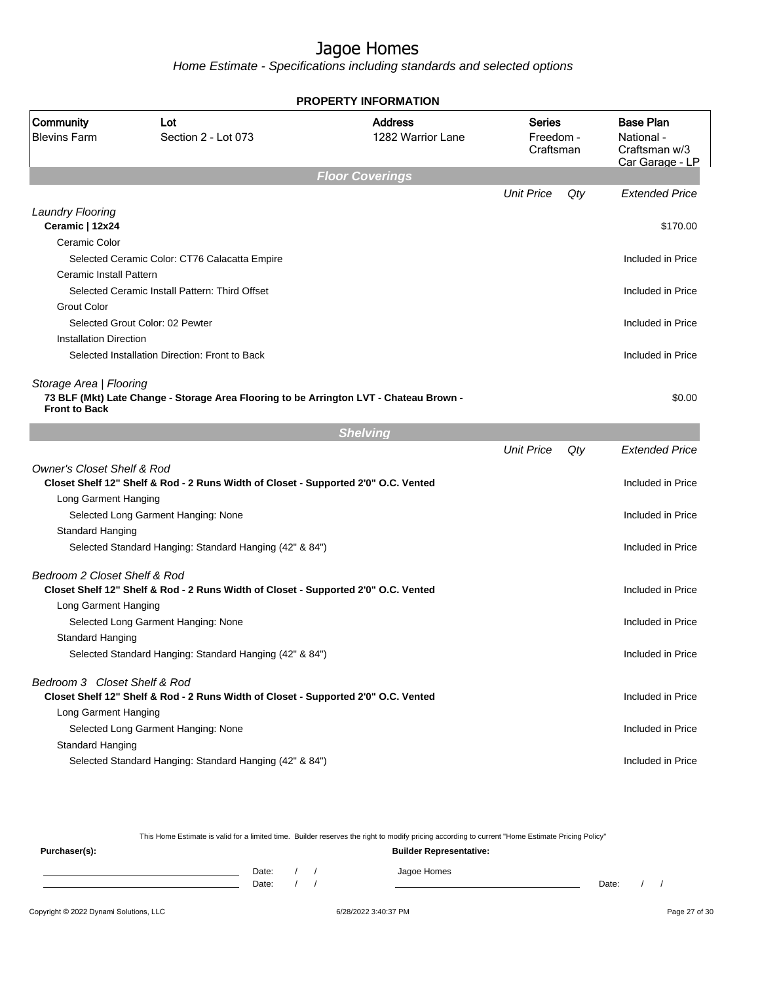**PROPERTY INFORMATION**

Home Estimate - Specifications including standards and selected options

| Community<br><b>Blevins Farm</b>                | Lot<br>Section 2 - Lot 073                                                             | Address<br>1282 Warrior Lane | Series<br>Freedom -<br>Craftsman |     | <b>Base Plan</b><br>National -<br>Craftsman w/3<br>Car Garage - LP |
|-------------------------------------------------|----------------------------------------------------------------------------------------|------------------------------|----------------------------------|-----|--------------------------------------------------------------------|
|                                                 |                                                                                        | <b>Floor Coverings</b>       |                                  |     |                                                                    |
|                                                 |                                                                                        |                              | <b>Unit Price</b>                | Qty | <b>Extended Price</b>                                              |
| Laundry Flooring<br>Ceramic   12x24             |                                                                                        |                              |                                  |     | \$170.00                                                           |
| Ceramic Color                                   |                                                                                        |                              |                                  |     |                                                                    |
|                                                 | Selected Ceramic Color: CT76 Calacatta Empire                                          |                              |                                  |     | Included in Price                                                  |
| Ceramic Install Pattern                         |                                                                                        |                              |                                  |     |                                                                    |
|                                                 | Selected Ceramic Install Pattern: Third Offset                                         |                              |                                  |     | Included in Price                                                  |
| <b>Grout Color</b>                              |                                                                                        |                              |                                  |     |                                                                    |
|                                                 | Selected Grout Color: 02 Pewter                                                        |                              |                                  |     | Included in Price                                                  |
| <b>Installation Direction</b>                   |                                                                                        |                              |                                  |     |                                                                    |
|                                                 | Selected Installation Direction: Front to Back                                         |                              |                                  |     | Included in Price                                                  |
| Storage Area   Flooring<br><b>Front to Back</b> | 73 BLF (Mkt) Late Change - Storage Area Flooring to be Arrington LVT - Chateau Brown - |                              |                                  |     | \$0.00                                                             |
|                                                 |                                                                                        | <b>Shelving</b>              |                                  |     |                                                                    |
|                                                 |                                                                                        |                              | <b>Unit Price</b>                | Qty | <b>Extended Price</b>                                              |
| <b>Owner's Closet Shelf &amp; Rod</b>           |                                                                                        |                              |                                  |     |                                                                    |
|                                                 | Closet Shelf 12" Shelf & Rod - 2 Runs Width of Closet - Supported 2'0" O.C. Vented     |                              |                                  |     | Included in Price                                                  |
| Long Garment Hanging                            |                                                                                        |                              |                                  |     |                                                                    |
|                                                 | Selected Long Garment Hanging: None                                                    |                              |                                  |     | Included in Price                                                  |
| Standard Hanging                                |                                                                                        |                              |                                  |     |                                                                    |
|                                                 | Selected Standard Hanging: Standard Hanging (42" & 84")                                |                              |                                  |     | Included in Price                                                  |
| Bedroom 2 Closet Shelf & Rod                    |                                                                                        |                              |                                  |     |                                                                    |
|                                                 | Closet Shelf 12" Shelf & Rod - 2 Runs Width of Closet - Supported 2'0" O.C. Vented     |                              |                                  |     | Included in Price                                                  |
| Long Garment Hanging                            |                                                                                        |                              |                                  |     |                                                                    |
|                                                 | Selected Long Garment Hanging: None                                                    |                              |                                  |     | Included in Price                                                  |
| Standard Hanging                                |                                                                                        |                              |                                  |     |                                                                    |
|                                                 | Selected Standard Hanging: Standard Hanging (42" & 84")                                |                              |                                  |     | Included in Price                                                  |
| Bedroom 3 Closet Shelf & Rod                    | Closet Shelf 12" Shelf & Rod - 2 Runs Width of Closet - Supported 2'0" O.C. Vented     |                              |                                  |     | Included in Price                                                  |
| Long Garment Hanging                            |                                                                                        |                              |                                  |     |                                                                    |
|                                                 | Selected Long Garment Hanging: None                                                    |                              |                                  |     | Included in Price                                                  |
| Standard Hanging                                |                                                                                        |                              |                                  |     |                                                                    |
|                                                 | Selected Standard Hanging: Standard Hanging (42" & 84")                                |                              |                                  |     | Included in Price                                                  |
|                                                 |                                                                                        |                              |                                  |     |                                                                    |

This Home Estimate is valid for a limited time. Builder reserves the right to modify pricing according to current "Home Estimate Pricing Policy"

| Purchaser(s): |                |  | <b>Builder Representative:</b> |       |  |
|---------------|----------------|--|--------------------------------|-------|--|
|               | Date:<br>Date: |  | Jagoe Homes                    | Date: |  |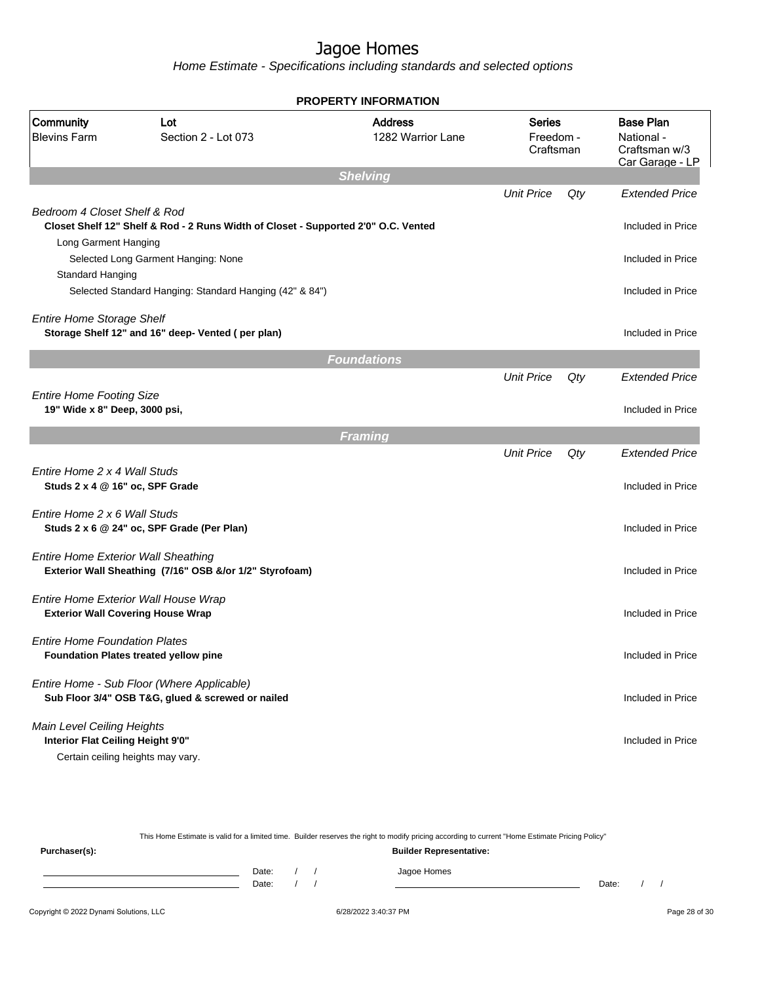|                                                                  |                                                                                                 | <b>PROPERTY INFORMATION</b>         |                                         |     |                                                                    |
|------------------------------------------------------------------|-------------------------------------------------------------------------------------------------|-------------------------------------|-----------------------------------------|-----|--------------------------------------------------------------------|
| Community<br><b>Blevins Farm</b>                                 | Lot<br>Section 2 - Lot 073                                                                      | <b>Address</b><br>1282 Warrior Lane | <b>Series</b><br>Freedom -<br>Craftsman |     | <b>Base Plan</b><br>National -<br>Craftsman w/3<br>Car Garage - LP |
|                                                                  |                                                                                                 | <b>Shelving</b>                     |                                         |     |                                                                    |
| Bedroom 4 Closet Shelf & Rod                                     | Closet Shelf 12" Shelf & Rod - 2 Runs Width of Closet - Supported 2'0" O.C. Vented              |                                     | <b>Unit Price</b>                       | Qty | <b>Extended Price</b><br>Included in Price                         |
| Long Garment Hanging<br>Standard Hanging                         | Selected Long Garment Hanging: None                                                             |                                     |                                         |     | Included in Price                                                  |
|                                                                  | Selected Standard Hanging: Standard Hanging (42" & 84")                                         |                                     |                                         |     | Included in Price                                                  |
| <b>Entire Home Storage Shelf</b>                                 | Storage Shelf 12" and 16" deep- Vented (per plan)                                               |                                     |                                         |     | Included in Price                                                  |
|                                                                  |                                                                                                 | <b>Foundations</b>                  |                                         |     |                                                                    |
|                                                                  |                                                                                                 |                                     | <b>Unit Price</b>                       | Qty | <b>Extended Price</b>                                              |
| <b>Entire Home Footing Size</b><br>19" Wide x 8" Deep, 3000 psi, |                                                                                                 |                                     |                                         |     | Included in Price                                                  |
|                                                                  |                                                                                                 | <b>Framing</b>                      |                                         |     |                                                                    |
| Entire Home 2 x 4 Wall Studs<br>Studs 2 x 4 @ 16" oc, SPF Grade  |                                                                                                 |                                     | <b>Unit Price</b>                       | Qty | <b>Extended Price</b><br>Included in Price                         |
| Entire Home 2 x 6 Wall Studs                                     | Studs 2 x 6 @ 24" oc, SPF Grade (Per Plan)                                                      |                                     |                                         |     | Included in Price                                                  |
| <b>Entire Home Exterior Wall Sheathing</b>                       | Exterior Wall Sheathing (7/16" OSB &/or 1/2" Styrofoam)                                         |                                     |                                         |     | Included in Price                                                  |
|                                                                  | Entire Home Exterior Wall House Wrap<br><b>Exterior Wall Covering House Wrap</b>                |                                     |                                         |     | Included in Price                                                  |
| <b>Entire Home Foundation Plates</b>                             | Foundation Plates treated yellow pine                                                           |                                     |                                         |     | Included in Price                                                  |
|                                                                  | Entire Home - Sub Floor (Where Applicable)<br>Sub Floor 3/4" OSB T&G, glued & screwed or nailed |                                     |                                         |     | Included in Price                                                  |
| Main Level Ceiling Heights<br>Interior Flat Ceiling Height 9'0"  | Certain ceiling heights may vary.                                                               |                                     |                                         |     | Included in Price                                                  |

|               |                                |  |  |  | This Home Estimate is valid for a limited time. Builder reserves the right to modify pricing according to current "Home Estimate Pricing Policy" |       |  |  |
|---------------|--------------------------------|--|--|--|--------------------------------------------------------------------------------------------------------------------------------------------------|-------|--|--|
| Purchaser(s): | <b>Builder Representative:</b> |  |  |  |                                                                                                                                                  |       |  |  |
|               | Date:                          |  |  |  | Jagoe Homes                                                                                                                                      |       |  |  |
|               | Date:                          |  |  |  |                                                                                                                                                  | Date: |  |  |
|               |                                |  |  |  |                                                                                                                                                  |       |  |  |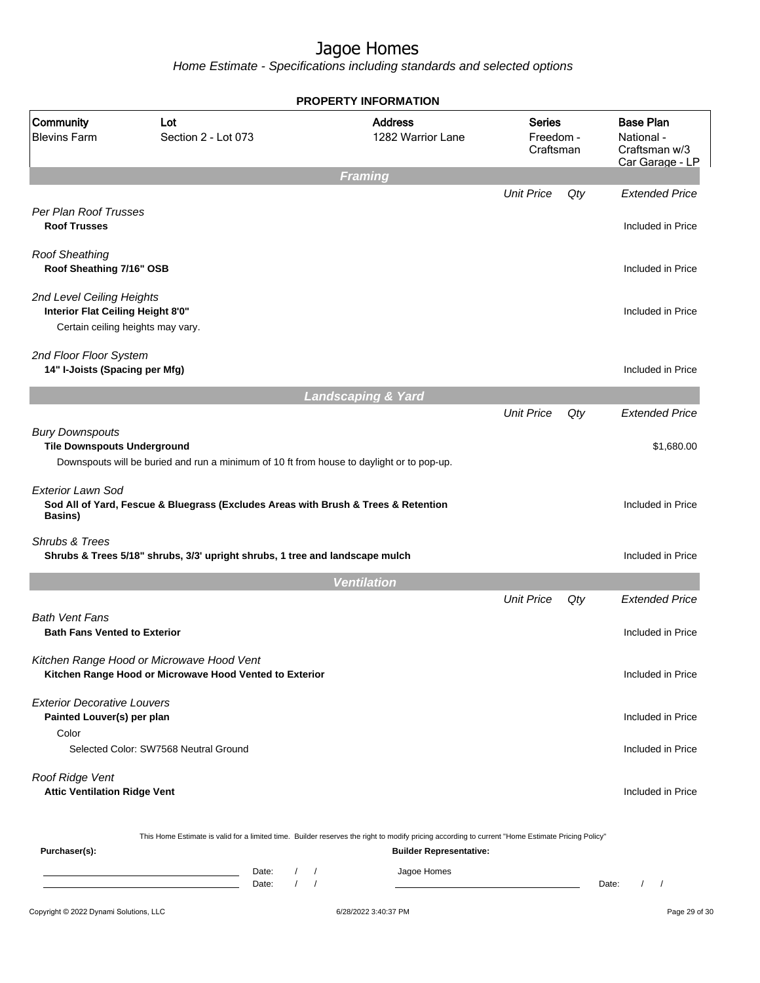|                                                                                                     |                                                                                                                                                                                                             | <b>PROPERTY INFORMATION</b>         |                                         |     |                                                                    |
|-----------------------------------------------------------------------------------------------------|-------------------------------------------------------------------------------------------------------------------------------------------------------------------------------------------------------------|-------------------------------------|-----------------------------------------|-----|--------------------------------------------------------------------|
| Community<br><b>Blevins Farm</b>                                                                    | Lot<br>Section 2 - Lot 073                                                                                                                                                                                  | <b>Address</b><br>1282 Warrior Lane | <b>Series</b><br>Freedom -<br>Craftsman |     | <b>Base Plan</b><br>National -<br>Craftsman w/3<br>Car Garage - LP |
|                                                                                                     |                                                                                                                                                                                                             | <b>Framing</b>                      |                                         |     |                                                                    |
| Per Plan Roof Trusses<br><b>Roof Trusses</b>                                                        |                                                                                                                                                                                                             |                                     | <b>Unit Price</b>                       | Qty | <b>Extended Price</b><br>Included in Price                         |
| <b>Roof Sheathing</b><br>Roof Sheathing 7/16" OSB                                                   |                                                                                                                                                                                                             |                                     |                                         |     | Included in Price                                                  |
| 2nd Level Ceiling Heights<br>Interior Flat Ceiling Height 8'0"<br>Certain ceiling heights may vary. |                                                                                                                                                                                                             |                                     |                                         |     | Included in Price                                                  |
| 2nd Floor Floor System<br>14" I-Joists (Spacing per Mfg)                                            |                                                                                                                                                                                                             |                                     |                                         |     | Included in Price                                                  |
|                                                                                                     |                                                                                                                                                                                                             | <b>Landscaping &amp; Yard</b>       |                                         |     |                                                                    |
|                                                                                                     |                                                                                                                                                                                                             |                                     | <b>Unit Price</b>                       | Qty | <b>Extended Price</b>                                              |
| <b>Bury Downspouts</b><br><b>Tile Downspouts Underground</b>                                        | Downspouts will be buried and run a minimum of 10 ft from house to daylight or to pop-up.                                                                                                                   |                                     |                                         |     | \$1,680.00                                                         |
| <b>Exterior Lawn Sod</b><br>Basins)                                                                 | Sod All of Yard, Fescue & Bluegrass (Excludes Areas with Brush & Trees & Retention                                                                                                                          |                                     |                                         |     | Included in Price                                                  |
| Shrubs & Trees                                                                                      | Shrubs & Trees 5/18" shrubs, 3/3' upright shrubs, 1 tree and landscape mulch                                                                                                                                |                                     |                                         |     | Included in Price                                                  |
|                                                                                                     |                                                                                                                                                                                                             | <b>Ventilation</b>                  |                                         |     |                                                                    |
|                                                                                                     |                                                                                                                                                                                                             |                                     | <b>Unit Price</b>                       | Qty | <b>Extended Price</b>                                              |
| <b>Bath Vent Fans</b><br><b>Bath Fans Vented to Exterior</b>                                        |                                                                                                                                                                                                             |                                     |                                         |     | Included in Price                                                  |
|                                                                                                     | Kitchen Range Hood or Microwave Hood Vent<br>Kitchen Range Hood or Microwave Hood Vented to Exterior                                                                                                        |                                     |                                         |     | Included in Price                                                  |
| <b>Exterior Decorative Louvers</b><br>Painted Louver(s) per plan                                    |                                                                                                                                                                                                             |                                     |                                         |     | Included in Price                                                  |
| Color                                                                                               | Selected Color: SW7568 Neutral Ground                                                                                                                                                                       |                                     |                                         |     | Included in Price                                                  |
| Roof Ridge Vent<br><b>Attic Ventilation Ridge Vent</b>                                              |                                                                                                                                                                                                             |                                     |                                         |     | Included in Price                                                  |
| Purchaser(s):                                                                                       | This Home Estimate is valid for a limited time. Builder reserves the right to modify pricing according to current "Home Estimate Pricing Policy"                                                            | <b>Builder Representative:</b>      |                                         |     |                                                                    |
|                                                                                                     | Date:<br><u> 1989 - Johann Barn, mars ann an t-Aonaich an t-Aonaich an t-Aonaich an t-Aonaich an t-Aonaich ann an t-Aonaich</u><br>$\sqrt{ }$<br><u> 1980 - Johann Barbara, martxa alemaniar a</u><br>Date: | Jagoe Homes<br>$\prime$<br>$\prime$ |                                         |     | $\left  \right $<br>Date:                                          |
| Copyright © 2022 Dynami Solutions, LLC                                                              |                                                                                                                                                                                                             | 6/28/2022 3:40:37 PM                |                                         |     | Page 29 of 30                                                      |